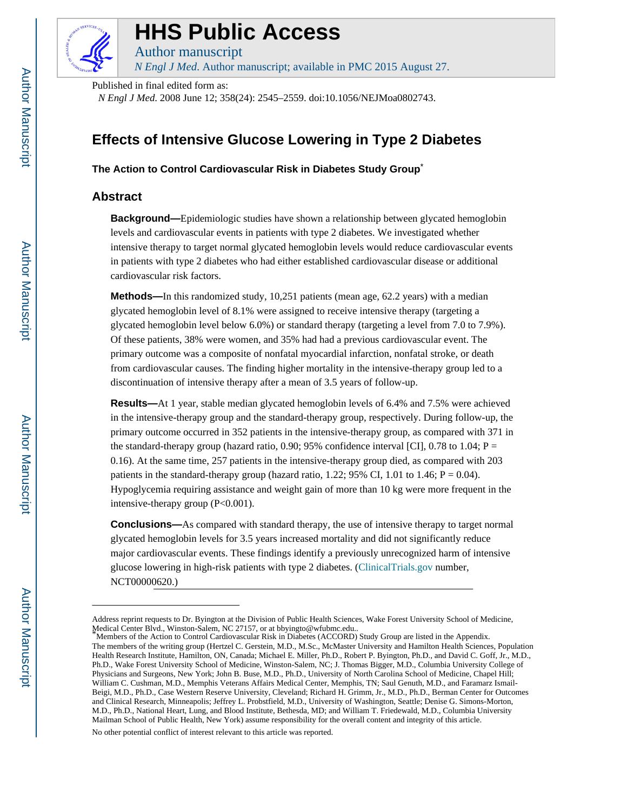

# **HHS Public Access**

Author manuscript *N Engl J Med*. Author manuscript; available in PMC 2015 August 27.

Published in final edited form as: *N Engl J Med*. 2008 June 12; 358(24): 2545–2559. doi:10.1056/NEJMoa0802743.

## **Effects of Intensive Glucose Lowering in Type 2 Diabetes**

## **The Action to Control Cardiovascular Risk in Diabetes Study Group**\*

## **Abstract**

**Background—**Epidemiologic studies have shown a relationship between glycated hemoglobin levels and cardiovascular events in patients with type 2 diabetes. We investigated whether intensive therapy to target normal glycated hemoglobin levels would reduce cardiovascular events in patients with type 2 diabetes who had either established cardiovascular disease or additional cardiovascular risk factors.

**Methods—**In this randomized study, 10,251 patients (mean age, 62.2 years) with a median glycated hemoglobin level of 8.1% were assigned to receive intensive therapy (targeting a glycated hemoglobin level below 6.0%) or standard therapy (targeting a level from 7.0 to 7.9%). Of these patients, 38% were women, and 35% had had a previous cardiovascular event. The primary outcome was a composite of nonfatal myocardial infarction, nonfatal stroke, or death from cardiovascular causes. The finding higher mortality in the intensive-therapy group led to a discontinuation of intensive therapy after a mean of 3.5 years of follow-up.

**Results—**At 1 year, stable median glycated hemoglobin levels of 6.4% and 7.5% were achieved in the intensive-therapy group and the standard-therapy group, respectively. During follow-up, the primary outcome occurred in 352 patients in the intensive-therapy group, as compared with 371 in the standard-therapy group (hazard ratio, 0.90; 95% confidence interval [CI], 0.78 to 1.04;  $P =$ 0.16). At the same time, 257 patients in the intensive-therapy group died, as compared with 203 patients in the standard-therapy group (hazard ratio, 1.22; 95% CI, 1.01 to 1.46;  $P = 0.04$ ). Hypoglycemia requiring assistance and weight gain of more than 10 kg were more frequent in the intensive-therapy group (P<0.001).

**Conclusions—**As compared with standard therapy, the use of intensive therapy to target normal glycated hemoglobin levels for 3.5 years increased mortality and did not significantly reduce major cardiovascular events. These findings identify a previously unrecognized harm of intensive glucose lowering in high-risk patients with type 2 diabetes. [\(ClinicalTrials.gov](http://ClinicalTrials.gov) number, NCT00000620.)

No other potential conflict of interest relevant to this article was reported.

Address reprint requests to Dr. Byington at the Division of Public Health Sciences, Wake Forest University School of Medicine, Medical Center Blvd., Winston-Salem, NC 27157, or at bbyingto@wfubmc.edu..

<sup>\*</sup>Members of the Action to Control Cardiovascular Risk in Diabetes (ACCORD) Study Group are listed in the Appendix. The members of the writing group (Hertzel C. Gerstein, M.D., M.Sc., McMaster University and Hamilton Health Sciences, Population Health Research Institute, Hamilton, ON, Canada; Michael E. Miller, Ph.D., Robert P. Byington, Ph.D., and David C. Goff, Jr., M.D., Ph.D., Wake Forest University School of Medicine, Winston-Salem, NC; J. Thomas Bigger, M.D., Columbia University College of Physicians and Surgeons, New York; John B. Buse, M.D., Ph.D., University of North Carolina School of Medicine, Chapel Hill; William C. Cushman, M.D., Memphis Veterans Affairs Medical Center, Memphis, TN; Saul Genuth, M.D., and Faramarz Ismail-Beigi, M.D., Ph.D., Case Western Reserve University, Cleveland; Richard H. Grimm, Jr., M.D., Ph.D., Berman Center for Outcomes and Clinical Research, Minneapolis; Jeffrey L. Probstfield, M.D., University of Washington, Seattle; Denise G. Simons-Morton, M.D., Ph.D., National Heart, Lung, and Blood Institute, Bethesda, MD; and William T. Friedewald, M.D., Columbia University Mailman School of Public Health, New York) assume responsibility for the overall content and integrity of this article.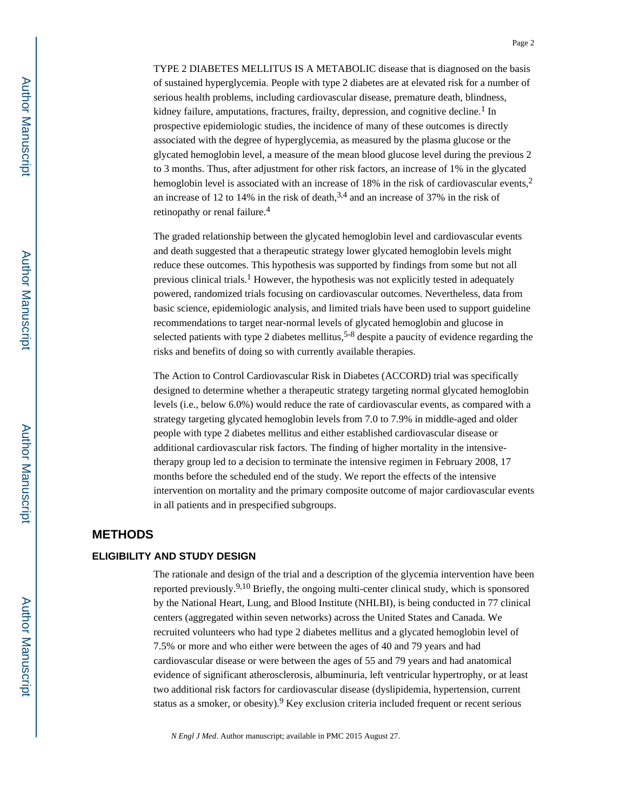TYPE 2 DIABETES MELLITUS IS A METABOLIC disease that is diagnosed on the basis of sustained hyperglycemia. People with type 2 diabetes are at elevated risk for a number of serious health problems, including cardiovascular disease, premature death, blindness, kidney failure, amputations, fractures, frailty, depression, and cognitive decline.<sup>1</sup> In prospective epidemiologic studies, the incidence of many of these outcomes is directly associated with the degree of hyperglycemia, as measured by the plasma glucose or the glycated hemoglobin level, a measure of the mean blood glucose level during the previous 2 to 3 months. Thus, after adjustment for other risk factors, an increase of 1% in the glycated hemoglobin level is associated with an increase of 18% in the risk of cardiovascular events,<sup>2</sup> an increase of 12 to 14% in the risk of death,  $3,4$  and an increase of 37% in the risk of retinopathy or renal failure.<sup>4</sup>

The graded relationship between the glycated hemoglobin level and cardiovascular events and death suggested that a therapeutic strategy lower glycated hemoglobin levels might reduce these outcomes. This hypothesis was supported by findings from some but not all previous clinical trials.<sup>1</sup> However, the hypothesis was not explicitly tested in adequately powered, randomized trials focusing on cardiovascular outcomes. Nevertheless, data from basic science, epidemiologic analysis, and limited trials have been used to support guideline recommendations to target near-normal levels of glycated hemoglobin and glucose in selected patients with type 2 diabetes mellitus,<sup>5-8</sup> despite a paucity of evidence regarding the risks and benefits of doing so with currently available therapies.

The Action to Control Cardiovascular Risk in Diabetes (ACCORD) trial was specifically designed to determine whether a therapeutic strategy targeting normal glycated hemoglobin levels (i.e., below 6.0%) would reduce the rate of cardiovascular events, as compared with a strategy targeting glycated hemoglobin levels from 7.0 to 7.9% in middle-aged and older people with type 2 diabetes mellitus and either established cardiovascular disease or additional cardiovascular risk factors. The finding of higher mortality in the intensivetherapy group led to a decision to terminate the intensive regimen in February 2008, 17 months before the scheduled end of the study. We report the effects of the intensive intervention on mortality and the primary composite outcome of major cardiovascular events in all patients and in prespecified subgroups.

## **METHODS**

#### **ELIGIBILITY AND STUDY DESIGN**

The rationale and design of the trial and a description of the glycemia intervention have been reported previously.9,10 Briefly, the ongoing multi-center clinical study, which is sponsored by the National Heart, Lung, and Blood Institute (NHLBI), is being conducted in 77 clinical centers (aggregated within seven networks) across the United States and Canada. We recruited volunteers who had type 2 diabetes mellitus and a glycated hemoglobin level of 7.5% or more and who either were between the ages of 40 and 79 years and had cardiovascular disease or were between the ages of 55 and 79 years and had anatomical evidence of significant atherosclerosis, albuminuria, left ventricular hypertrophy, or at least two additional risk factors for cardiovascular disease (dyslipidemia, hypertension, current status as a smoker, or obesity). $9$  Key exclusion criteria included frequent or recent serious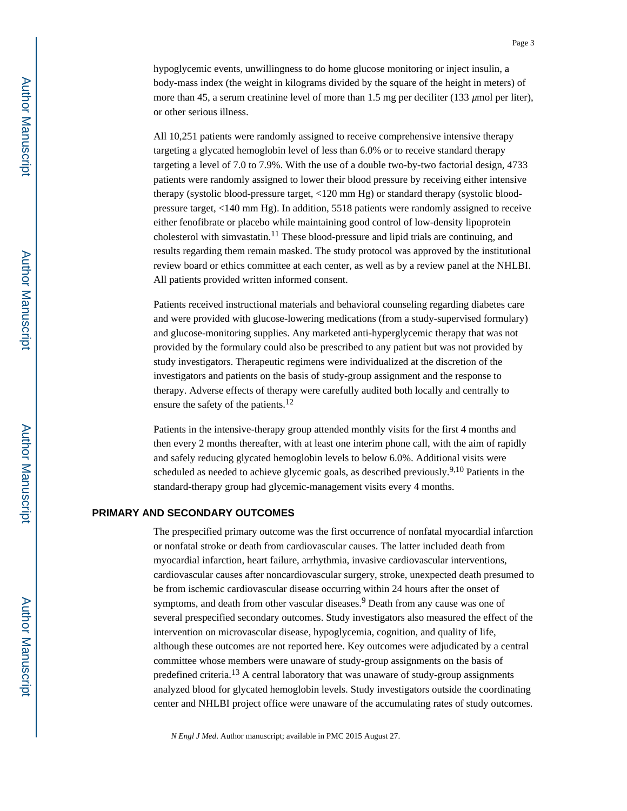All 10,251 patients were randomly assigned to receive comprehensive intensive therapy targeting a glycated hemoglobin level of less than 6.0% or to receive standard therapy targeting a level of 7.0 to 7.9%. With the use of a double two-by-two factorial design, 4733 patients were randomly assigned to lower their blood pressure by receiving either intensive therapy (systolic blood-pressure target, <120 mm Hg) or standard therapy (systolic bloodpressure target, <140 mm Hg). In addition, 5518 patients were randomly assigned to receive either fenofibrate or placebo while maintaining good control of low-density lipoprotein cholesterol with simvastatin.<sup>11</sup> These blood-pressure and lipid trials are continuing, and results regarding them remain masked. The study protocol was approved by the institutional review board or ethics committee at each center, as well as by a review panel at the NHLBI. All patients provided written informed consent.

Patients received instructional materials and behavioral counseling regarding diabetes care and were provided with glucose-lowering medications (from a study-supervised formulary) and glucose-monitoring supplies. Any marketed anti-hyperglycemic therapy that was not provided by the formulary could also be prescribed to any patient but was not provided by study investigators. Therapeutic regimens were individualized at the discretion of the investigators and patients on the basis of study-group assignment and the response to therapy. Adverse effects of therapy were carefully audited both locally and centrally to ensure the safety of the patients.<sup>12</sup>

Patients in the intensive-therapy group attended monthly visits for the first 4 months and then every 2 months thereafter, with at least one interim phone call, with the aim of rapidly and safely reducing glycated hemoglobin levels to below 6.0%. Additional visits were scheduled as needed to achieve glycemic goals, as described previously.9,10 Patients in the standard-therapy group had glycemic-management visits every 4 months.

#### **PRIMARY AND SECONDARY OUTCOMES**

The prespecified primary outcome was the first occurrence of nonfatal myocardial infarction or nonfatal stroke or death from cardiovascular causes. The latter included death from myocardial infarction, heart failure, arrhythmia, invasive cardiovascular interventions, cardiovascular causes after noncardiovascular surgery, stroke, unexpected death presumed to be from ischemic cardiovascular disease occurring within 24 hours after the onset of symptoms, and death from other vascular diseases.<sup>9</sup> Death from any cause was one of several prespecified secondary outcomes. Study investigators also measured the effect of the intervention on microvascular disease, hypoglycemia, cognition, and quality of life, although these outcomes are not reported here. Key outcomes were adjudicated by a central committee whose members were unaware of study-group assignments on the basis of predefined criteria.<sup>13</sup> A central laboratory that was unaware of study-group assignments analyzed blood for glycated hemoglobin levels. Study investigators outside the coordinating center and NHLBI project office were unaware of the accumulating rates of study outcomes.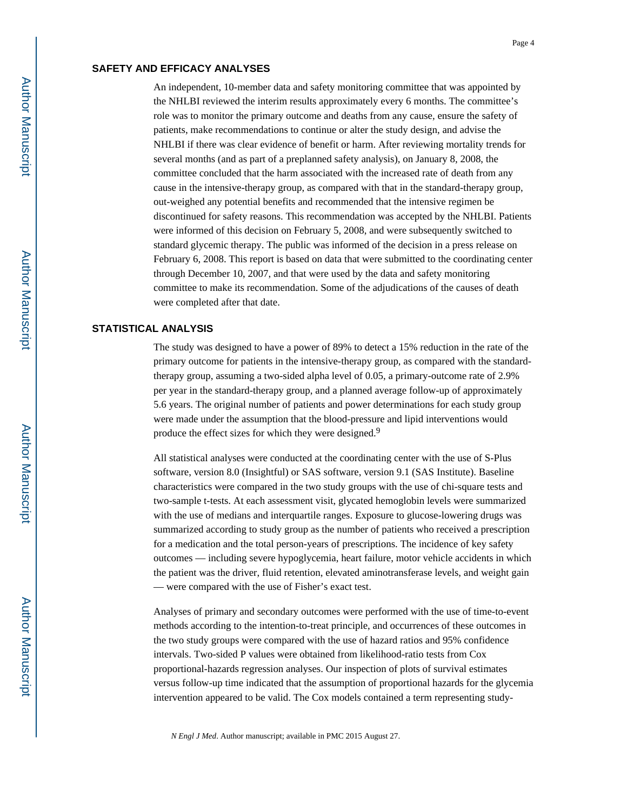#### **SAFETY AND EFFICACY ANALYSES**

An independent, 10-member data and safety monitoring committee that was appointed by the NHLBI reviewed the interim results approximately every 6 months. The committee's role was to monitor the primary outcome and deaths from any cause, ensure the safety of patients, make recommendations to continue or alter the study design, and advise the NHLBI if there was clear evidence of benefit or harm. After reviewing mortality trends for several months (and as part of a preplanned safety analysis), on January 8, 2008, the committee concluded that the harm associated with the increased rate of death from any cause in the intensive-therapy group, as compared with that in the standard-therapy group, out-weighed any potential benefits and recommended that the intensive regimen be discontinued for safety reasons. This recommendation was accepted by the NHLBI. Patients were informed of this decision on February 5, 2008, and were subsequently switched to standard glycemic therapy. The public was informed of the decision in a press release on February 6, 2008. This report is based on data that were submitted to the coordinating center through December 10, 2007, and that were used by the data and safety monitoring committee to make its recommendation. Some of the adjudications of the causes of death were completed after that date.

#### **STATISTICAL ANALYSIS**

The study was designed to have a power of 89% to detect a 15% reduction in the rate of the primary outcome for patients in the intensive-therapy group, as compared with the standardtherapy group, assuming a two-sided alpha level of 0.05, a primary-outcome rate of 2.9% per year in the standard-therapy group, and a planned average follow-up of approximately 5.6 years. The original number of patients and power determinations for each study group were made under the assumption that the blood-pressure and lipid interventions would produce the effect sizes for which they were designed.<sup>9</sup>

All statistical analyses were conducted at the coordinating center with the use of S-Plus software, version 8.0 (Insightful) or SAS software, version 9.1 (SAS Institute). Baseline characteristics were compared in the two study groups with the use of chi-square tests and two-sample t-tests. At each assessment visit, glycated hemoglobin levels were summarized with the use of medians and interquartile ranges. Exposure to glucose-lowering drugs was summarized according to study group as the number of patients who received a prescription for a medication and the total person-years of prescriptions. The incidence of key safety outcomes — including severe hypoglycemia, heart failure, motor vehicle accidents in which the patient was the driver, fluid retention, elevated aminotransferase levels, and weight gain — were compared with the use of Fisher's exact test.

Analyses of primary and secondary outcomes were performed with the use of time-to-event methods according to the intention-to-treat principle, and occurrences of these outcomes in the two study groups were compared with the use of hazard ratios and 95% confidence intervals. Two-sided P values were obtained from likelihood-ratio tests from Cox proportional-hazards regression analyses. Our inspection of plots of survival estimates versus follow-up time indicated that the assumption of proportional hazards for the glycemia intervention appeared to be valid. The Cox models contained a term representing study-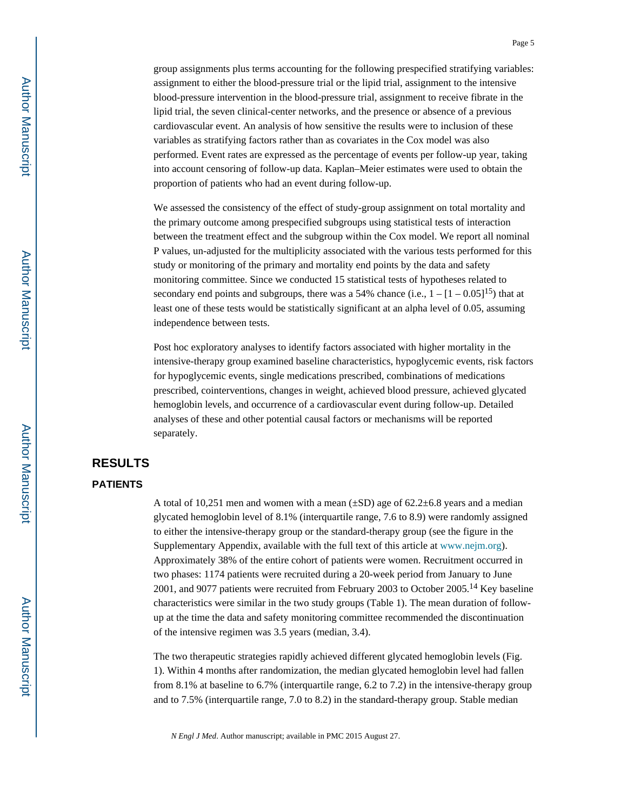Author ManuscriptAuthor Manuscript

group assignments plus terms accounting for the following prespecified stratifying variables: assignment to either the blood-pressure trial or the lipid trial, assignment to the intensive blood-pressure intervention in the blood-pressure trial, assignment to receive fibrate in the lipid trial, the seven clinical-center networks, and the presence or absence of a previous cardiovascular event. An analysis of how sensitive the results were to inclusion of these variables as stratifying factors rather than as covariates in the Cox model was also performed. Event rates are expressed as the percentage of events per follow-up year, taking into account censoring of follow-up data. Kaplan–Meier estimates were used to obtain the proportion of patients who had an event during follow-up.

We assessed the consistency of the effect of study-group assignment on total mortality and the primary outcome among prespecified subgroups using statistical tests of interaction between the treatment effect and the subgroup within the Cox model. We report all nominal P values, un-adjusted for the multiplicity associated with the various tests performed for this study or monitoring of the primary and mortality end points by the data and safety monitoring committee. Since we conducted 15 statistical tests of hypotheses related to secondary end points and subgroups, there was a 54% chance (i.e.,  $1 - [1 - 0.05]^{15}$ ) that at least one of these tests would be statistically significant at an alpha level of 0.05, assuming independence between tests.

Post hoc exploratory analyses to identify factors associated with higher mortality in the intensive-therapy group examined baseline characteristics, hypoglycemic events, risk factors for hypoglycemic events, single medications prescribed, combinations of medications prescribed, cointerventions, changes in weight, achieved blood pressure, achieved glycated hemoglobin levels, and occurrence of a cardiovascular event during follow-up. Detailed analyses of these and other potential causal factors or mechanisms will be reported separately.

## **RESULTS**

#### **PATIENTS**

A total of 10,251 men and women with a mean  $(\pm SD)$  age of 62.2 $\pm$ 6.8 years and a median glycated hemoglobin level of 8.1% (interquartile range, 7.6 to 8.9) were randomly assigned to either the intensive-therapy group or the standard-therapy group (see the figure in the Supplementary Appendix, available with the full text of this article at [www.nejm.org\)](http://www.nejm.org). Approximately 38% of the entire cohort of patients were women. Recruitment occurred in two phases: 1174 patients were recruited during a 20-week period from January to June 2001, and 9077 patients were recruited from February 2003 to October 2005.14 Key baseline characteristics were similar in the two study groups (Table 1). The mean duration of followup at the time the data and safety monitoring committee recommended the discontinuation of the intensive regimen was 3.5 years (median, 3.4).

The two therapeutic strategies rapidly achieved different glycated hemoglobin levels (Fig. 1). Within 4 months after randomization, the median glycated hemoglobin level had fallen from 8.1% at baseline to 6.7% (interquartile range, 6.2 to 7.2) in the intensive-therapy group and to 7.5% (interquartile range, 7.0 to 8.2) in the standard-therapy group. Stable median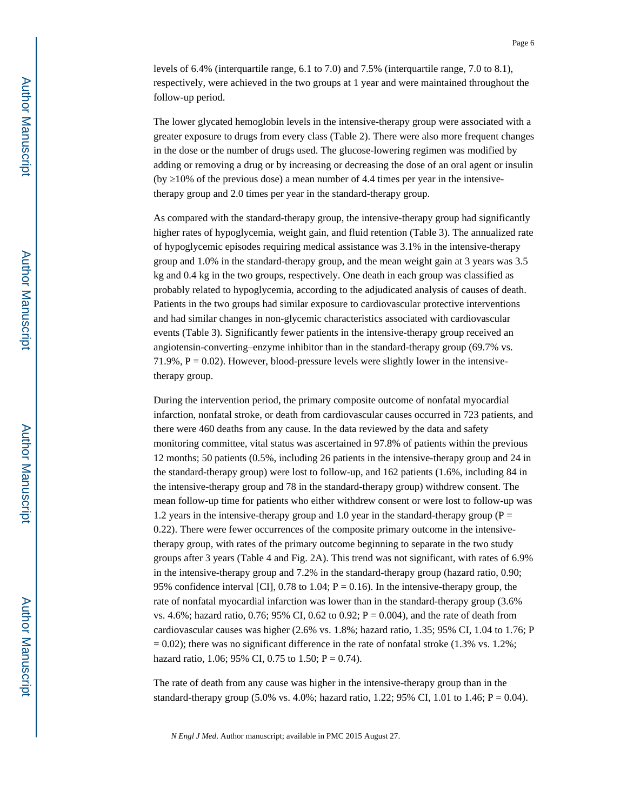levels of 6.4% (interquartile range, 6.1 to 7.0) and 7.5% (interquartile range, 7.0 to 8.1), respectively, were achieved in the two groups at 1 year and were maintained throughout the follow-up period.

The lower glycated hemoglobin levels in the intensive-therapy group were associated with a greater exposure to drugs from every class (Table 2). There were also more frequent changes in the dose or the number of drugs used. The glucose-lowering regimen was modified by adding or removing a drug or by increasing or decreasing the dose of an oral agent or insulin (by ≥10% of the previous dose) a mean number of 4.4 times per year in the intensivetherapy group and 2.0 times per year in the standard-therapy group.

As compared with the standard-therapy group, the intensive-therapy group had significantly higher rates of hypoglycemia, weight gain, and fluid retention (Table 3). The annualized rate of hypoglycemic episodes requiring medical assistance was 3.1% in the intensive-therapy group and 1.0% in the standard-therapy group, and the mean weight gain at 3 years was 3.5 kg and 0.4 kg in the two groups, respectively. One death in each group was classified as probably related to hypoglycemia, according to the adjudicated analysis of causes of death. Patients in the two groups had similar exposure to cardiovascular protective interventions and had similar changes in non-glycemic characteristics associated with cardiovascular events (Table 3). Significantly fewer patients in the intensive-therapy group received an angiotensin-converting–enzyme inhibitor than in the standard-therapy group (69.7% vs. 71.9%,  $P = 0.02$ ). However, blood-pressure levels were slightly lower in the intensivetherapy group.

During the intervention period, the primary composite outcome of nonfatal myocardial infarction, nonfatal stroke, or death from cardiovascular causes occurred in 723 patients, and there were 460 deaths from any cause. In the data reviewed by the data and safety monitoring committee, vital status was ascertained in 97.8% of patients within the previous 12 months; 50 patients (0.5%, including 26 patients in the intensive-therapy group and 24 in the standard-therapy group) were lost to follow-up, and 162 patients (1.6%, including 84 in the intensive-therapy group and 78 in the standard-therapy group) withdrew consent. The mean follow-up time for patients who either withdrew consent or were lost to follow-up was 1.2 years in the intensive-therapy group and 1.0 year in the standard-therapy group ( $P =$ 0.22). There were fewer occurrences of the composite primary outcome in the intensivetherapy group, with rates of the primary outcome beginning to separate in the two study groups after 3 years (Table 4 and Fig. 2A). This trend was not significant, with rates of 6.9% in the intensive-therapy group and 7.2% in the standard-therapy group (hazard ratio, 0.90; 95% confidence interval [CI], 0.78 to 1.04;  $P = 0.16$ ). In the intensive-therapy group, the rate of nonfatal myocardial infarction was lower than in the standard-therapy group (3.6% vs. 4.6%; hazard ratio, 0.76; 95% CI, 0.62 to 0.92;  $P = 0.004$ ), and the rate of death from cardiovascular causes was higher (2.6% vs. 1.8%; hazard ratio, 1.35; 95% CI, 1.04 to 1.76; P  $= 0.02$ ); there was no significant difference in the rate of nonfatal stroke (1.3% vs. 1.2%; hazard ratio, 1.06; 95% CI, 0.75 to 1.50;  $P = 0.74$ ).

The rate of death from any cause was higher in the intensive-therapy group than in the standard-therapy group (5.0% vs. 4.0%; hazard ratio, 1.22; 95% CI, 1.01 to 1.46;  $P = 0.04$ ).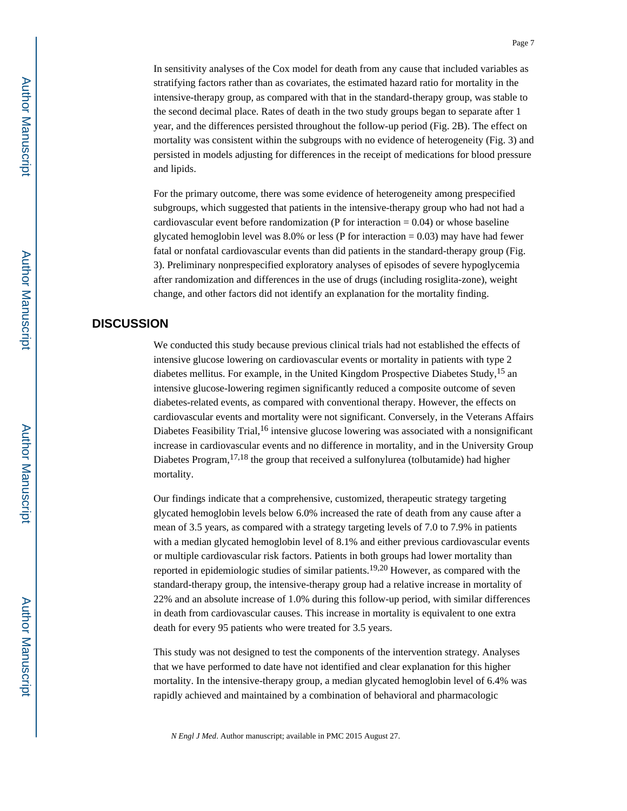In sensitivity analyses of the Cox model for death from any cause that included variables as stratifying factors rather than as covariates, the estimated hazard ratio for mortality in the intensive-therapy group, as compared with that in the standard-therapy group, was stable to the second decimal place. Rates of death in the two study groups began to separate after 1 year, and the differences persisted throughout the follow-up period (Fig. 2B). The effect on mortality was consistent within the subgroups with no evidence of heterogeneity (Fig. 3) and persisted in models adjusting for differences in the receipt of medications for blood pressure and lipids.

For the primary outcome, there was some evidence of heterogeneity among prespecified subgroups, which suggested that patients in the intensive-therapy group who had not had a cardiovascular event before randomization (P for interaction  $= 0.04$ ) or whose baseline glycated hemoglobin level was 8.0% or less (P for interaction  $= 0.03$ ) may have had fewer fatal or nonfatal cardiovascular events than did patients in the standard-therapy group (Fig. 3). Preliminary nonprespecified exploratory analyses of episodes of severe hypoglycemia after randomization and differences in the use of drugs (including rosiglita-zone), weight change, and other factors did not identify an explanation for the mortality finding.

## **DISCUSSION**

We conducted this study because previous clinical trials had not established the effects of intensive glucose lowering on cardiovascular events or mortality in patients with type 2 diabetes mellitus. For example, in the United Kingdom Prospective Diabetes Study,15 an intensive glucose-lowering regimen significantly reduced a composite outcome of seven diabetes-related events, as compared with conventional therapy. However, the effects on cardiovascular events and mortality were not significant. Conversely, in the Veterans Affairs Diabetes Feasibility Trial,<sup>16</sup> intensive glucose lowering was associated with a nonsignificant increase in cardiovascular events and no difference in mortality, and in the University Group Diabetes Program,  $17,18$  the group that received a sulfonylurea (tolbutamide) had higher mortality.

Our findings indicate that a comprehensive, customized, therapeutic strategy targeting glycated hemoglobin levels below 6.0% increased the rate of death from any cause after a mean of 3.5 years, as compared with a strategy targeting levels of 7.0 to 7.9% in patients with a median glycated hemoglobin level of 8.1% and either previous cardiovascular events or multiple cardiovascular risk factors. Patients in both groups had lower mortality than reported in epidemiologic studies of similar patients.19,20 However, as compared with the standard-therapy group, the intensive-therapy group had a relative increase in mortality of 22% and an absolute increase of 1.0% during this follow-up period, with similar differences in death from cardiovascular causes. This increase in mortality is equivalent to one extra death for every 95 patients who were treated for 3.5 years.

This study was not designed to test the components of the intervention strategy. Analyses that we have performed to date have not identified and clear explanation for this higher mortality. In the intensive-therapy group, a median glycated hemoglobin level of 6.4% was rapidly achieved and maintained by a combination of behavioral and pharmacologic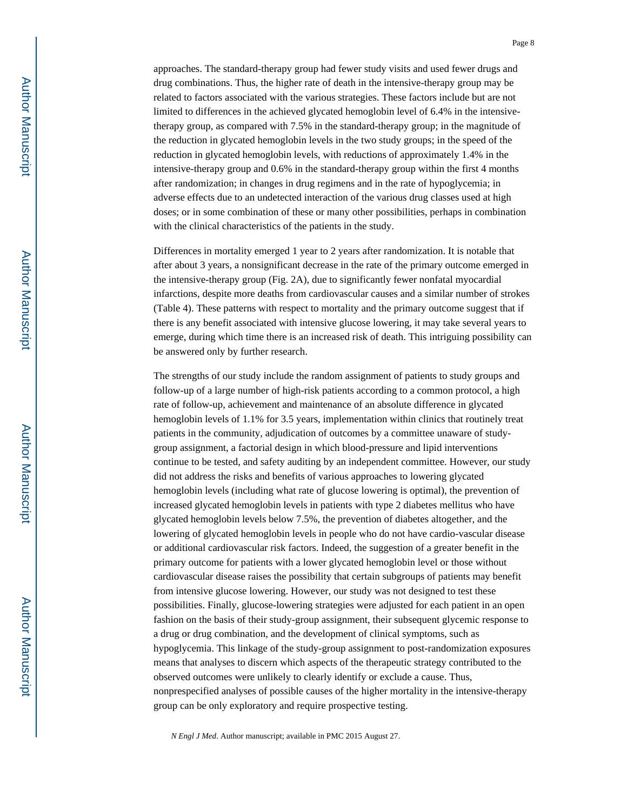approaches. The standard-therapy group had fewer study visits and used fewer drugs and drug combinations. Thus, the higher rate of death in the intensive-therapy group may be related to factors associated with the various strategies. These factors include but are not limited to differences in the achieved glycated hemoglobin level of 6.4% in the intensivetherapy group, as compared with 7.5% in the standard-therapy group; in the magnitude of the reduction in glycated hemoglobin levels in the two study groups; in the speed of the reduction in glycated hemoglobin levels, with reductions of approximately 1.4% in the intensive-therapy group and 0.6% in the standard-therapy group within the first 4 months after randomization; in changes in drug regimens and in the rate of hypoglycemia; in adverse effects due to an undetected interaction of the various drug classes used at high doses; or in some combination of these or many other possibilities, perhaps in combination with the clinical characteristics of the patients in the study.

Differences in mortality emerged 1 year to 2 years after randomization. It is notable that after about 3 years, a nonsignificant decrease in the rate of the primary outcome emerged in the intensive-therapy group (Fig. 2A), due to significantly fewer nonfatal myocardial infarctions, despite more deaths from cardiovascular causes and a similar number of strokes (Table 4). These patterns with respect to mortality and the primary outcome suggest that if there is any benefit associated with intensive glucose lowering, it may take several years to emerge, during which time there is an increased risk of death. This intriguing possibility can be answered only by further research.

The strengths of our study include the random assignment of patients to study groups and follow-up of a large number of high-risk patients according to a common protocol, a high rate of follow-up, achievement and maintenance of an absolute difference in glycated hemoglobin levels of 1.1% for 3.5 years, implementation within clinics that routinely treat patients in the community, adjudication of outcomes by a committee unaware of studygroup assignment, a factorial design in which blood-pressure and lipid interventions continue to be tested, and safety auditing by an independent committee. However, our study did not address the risks and benefits of various approaches to lowering glycated hemoglobin levels (including what rate of glucose lowering is optimal), the prevention of increased glycated hemoglobin levels in patients with type 2 diabetes mellitus who have glycated hemoglobin levels below 7.5%, the prevention of diabetes altogether, and the lowering of glycated hemoglobin levels in people who do not have cardio-vascular disease or additional cardiovascular risk factors. Indeed, the suggestion of a greater benefit in the primary outcome for patients with a lower glycated hemoglobin level or those without cardiovascular disease raises the possibility that certain subgroups of patients may benefit from intensive glucose lowering. However, our study was not designed to test these possibilities. Finally, glucose-lowering strategies were adjusted for each patient in an open fashion on the basis of their study-group assignment, their subsequent glycemic response to a drug or drug combination, and the development of clinical symptoms, such as hypoglycemia. This linkage of the study-group assignment to post-randomization exposures means that analyses to discern which aspects of the therapeutic strategy contributed to the observed outcomes were unlikely to clearly identify or exclude a cause. Thus, nonprespecified analyses of possible causes of the higher mortality in the intensive-therapy group can be only exploratory and require prospective testing.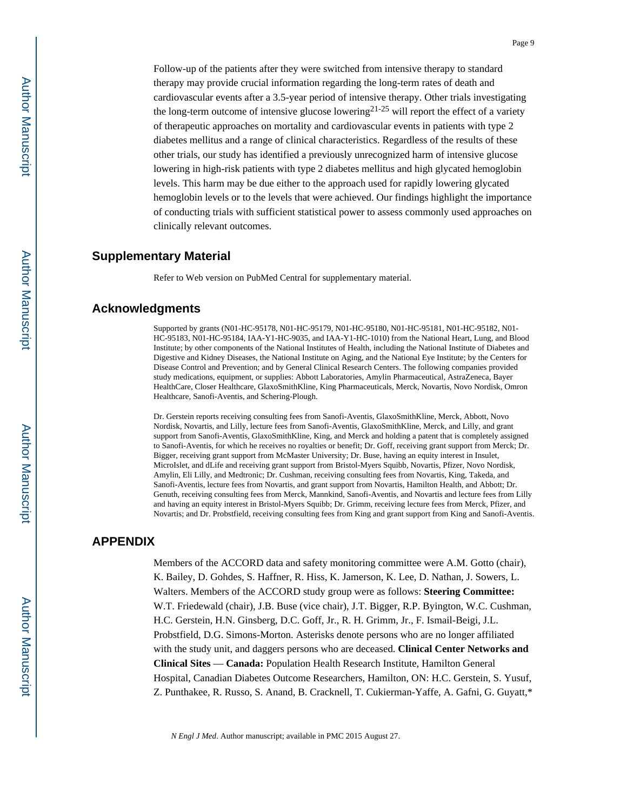Follow-up of the patients after they were switched from intensive therapy to standard therapy may provide crucial information regarding the long-term rates of death and cardiovascular events after a 3.5-year period of intensive therapy. Other trials investigating the long-term outcome of intensive glucose lowering<sup>21-25</sup> will report the effect of a variety of therapeutic approaches on mortality and cardiovascular events in patients with type 2 diabetes mellitus and a range of clinical characteristics. Regardless of the results of these other trials, our study has identified a previously unrecognized harm of intensive glucose lowering in high-risk patients with type 2 diabetes mellitus and high glycated hemoglobin levels. This harm may be due either to the approach used for rapidly lowering glycated hemoglobin levels or to the levels that were achieved. Our findings highlight the importance of conducting trials with sufficient statistical power to assess commonly used approaches on clinically relevant outcomes.

#### **Supplementary Material**

Refer to Web version on PubMed Central for supplementary material.

#### **Acknowledgments**

Supported by grants (N01-HC-95178, N01-HC-95179, N01-HC-95180, N01-HC-95181, N01-HC-95182, N01- HC-95183, N01-HC-95184, IAA-Y1-HC-9035, and IAA-Y1-HC-1010) from the National Heart, Lung, and Blood Institute; by other components of the National Institutes of Health, including the National Institute of Diabetes and Digestive and Kidney Diseases, the National Institute on Aging, and the National Eye Institute; by the Centers for Disease Control and Prevention; and by General Clinical Research Centers. The following companies provided study medications, equipment, or supplies: Abbott Laboratories, Amylin Pharmaceutical, AstraZeneca, Bayer HealthCare, Closer Healthcare, GlaxoSmithKline, King Pharmaceuticals, Merck, Novartis, Novo Nordisk, Omron Healthcare, Sanofi-Aventis, and Schering-Plough.

Dr. Gerstein reports receiving consulting fees from Sanofi-Aventis, GlaxoSmithKline, Merck, Abbott, Novo Nordisk, Novartis, and Lilly, lecture fees from Sanofi-Aventis, GlaxoSmithKline, Merck, and Lilly, and grant support from Sanofi-Aventis, GlaxoSmithKline, King, and Merck and holding a patent that is completely assigned to Sanofi-Aventis, for which he receives no royalties or benefit; Dr. Goff, receiving grant support from Merck; Dr. Bigger, receiving grant support from McMaster University; Dr. Buse, having an equity interest in Insulet, MicroIslet, and dLife and receiving grant support from Bristol-Myers Squibb, Novartis, Pfizer, Novo Nordisk, Amylin, Eli Lilly, and Medtronic; Dr. Cushman, receiving consulting fees from Novartis, King, Takeda, and Sanofi-Aventis, lecture fees from Novartis, and grant support from Novartis, Hamilton Health, and Abbott; Dr. Genuth, receiving consulting fees from Merck, Mannkind, Sanofi-Aventis, and Novartis and lecture fees from Lilly and having an equity interest in Bristol-Myers Squibb; Dr. Grimm, receiving lecture fees from Merck, Pfizer, and Novartis; and Dr. Probstfield, receiving consulting fees from King and grant support from King and Sanofi-Aventis.

#### **APPENDIX**

Members of the ACCORD data and safety monitoring committee were A.M. Gotto (chair), K. Bailey, D. Gohdes, S. Haffner, R. Hiss, K. Jamerson, K. Lee, D. Nathan, J. Sowers, L. Walters. Members of the ACCORD study group were as follows: **Steering Committee:**  W.T. Friedewald (chair), J.B. Buse (vice chair), J.T. Bigger, R.P. Byington, W.C. Cushman, H.C. Gerstein, H.N. Ginsberg, D.C. Goff, Jr., R. H. Grimm, Jr., F. Ismail-Beigi, J.L. Probstfield, D.G. Simons-Morton. Asterisks denote persons who are no longer affiliated with the study unit, and daggers persons who are deceased. **Clinical Center Networks and Clinical Sites** — **Canada:** Population Health Research Institute, Hamilton General Hospital, Canadian Diabetes Outcome Researchers, Hamilton, ON: H.C. Gerstein, S. Yusuf, Z. Punthakee, R. Russo, S. Anand, B. Cracknell, T. Cukierman-Yaffe, A. Gafni, G. Guyatt,\*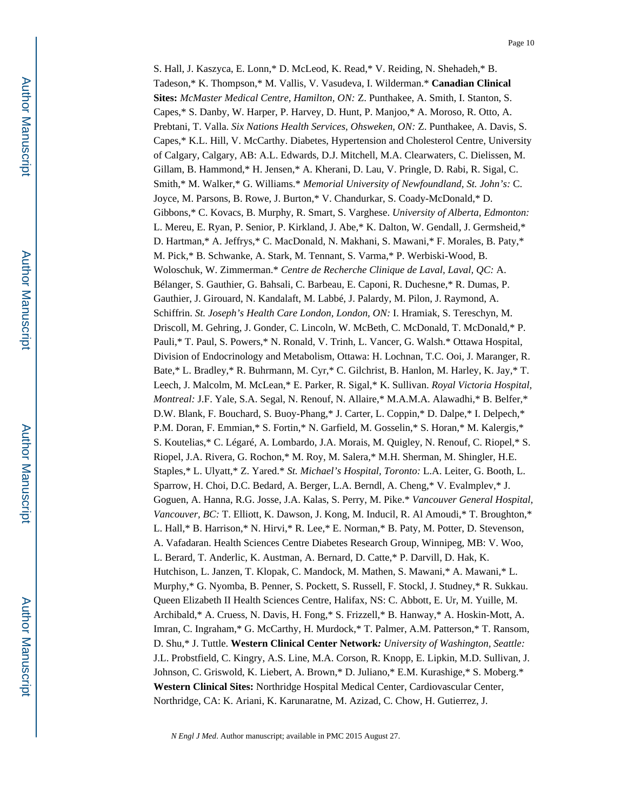S. Hall, J. Kaszyca, E. Lonn,\* D. McLeod, K. Read,\* V. Reiding, N. Shehadeh,\* B. Tadeson,\* K. Thompson,\* M. Vallis, V. Vasudeva, I. Wilderman.\* **Canadian Clinical Sites:** *McMaster Medical Centre, Hamilton, ON:* Z. Punthakee, A. Smith, I. Stanton, S. Capes,\* S. Danby, W. Harper, P. Harvey, D. Hunt, P. Manjoo,\* A. Moroso, R. Otto, A. Prebtani, T. Valla. *Six Nations Health Services, Ohsweken, ON:* Z. Punthakee, A. Davis, S. Capes,\* K.L. Hill, V. McCarthy. Diabetes, Hypertension and Cholesterol Centre, University of Calgary, Calgary, AB: A.L. Edwards, D.J. Mitchell, M.A. Clearwaters, C. Dielissen, M. Gillam, B. Hammond,\* H. Jensen,\* A. Kherani, D. Lau, V. Pringle, D. Rabi, R. Sigal, C. Smith,\* M. Walker,\* G. Williams.\* *Memorial University of Newfoundland, St. John's:* C. Joyce, M. Parsons, B. Rowe, J. Burton,\* V. Chandurkar, S. Coady-McDonald,\* D. Gibbons,\* C. Kovacs, B. Murphy, R. Smart, S. Varghese. *University of Alberta, Edmonton:*  L. Mereu, E. Ryan, P. Senior, P. Kirkland, J. Abe,\* K. Dalton, W. Gendall, J. Germsheid,\* D. Hartman,\* A. Jeffrys,\* C. MacDonald, N. Makhani, S. Mawani,\* F. Morales, B. Paty,\* M. Pick,\* B. Schwanke, A. Stark, M. Tennant, S. Varma,\* P. Werbiski-Wood, B. Woloschuk, W. Zimmerman.\* *Centre de Recherche Clinique de Laval, Laval, QC:* A. Bélanger, S. Gauthier, G. Bahsali, C. Barbeau, E. Caponi, R. Duchesne,\* R. Dumas, P. Gauthier, J. Girouard, N. Kandalaft, M. Labbé, J. Palardy, M. Pilon, J. Raymond, A. Schiffrin. *St. Joseph's Health Care London, London, ON:* I. Hramiak, S. Tereschyn, M. Driscoll, M. Gehring, J. Gonder, C. Lincoln, W. McBeth, C. McDonald, T. McDonald,\* P. Pauli,\* T. Paul, S. Powers,\* N. Ronald, V. Trinh, L. Vancer, G. Walsh.\* Ottawa Hospital, Division of Endocrinology and Metabolism, Ottawa: H. Lochnan, T.C. Ooi, J. Maranger, R. Bate,\* L. Bradley,\* R. Buhrmann, M. Cyr,\* C. Gilchrist, B. Hanlon, M. Harley, K. Jay,\* T. Leech, J. Malcolm, M. McLean,\* E. Parker, R. Sigal,\* K. Sullivan. *Royal Victoria Hospital, Montreal:* J.F. Yale, S.A. Segal, N. Renouf, N. Allaire,\* M.A.M.A. Alawadhi,\* B. Belfer,\* D.W. Blank, F. Bouchard, S. Buoy-Phang,\* J. Carter, L. Coppin,\* D. Dalpe,\* I. Delpech,\* P.M. Doran, F. Emmian,\* S. Fortin,\* N. Garfield, M. Gosselin,\* S. Horan,\* M. Kalergis,\* S. Koutelias,\* C. Légaré, A. Lombardo, J.A. Morais, M. Quigley, N. Renouf, C. Riopel,\* S. Riopel, J.A. Rivera, G. Rochon,\* M. Roy, M. Salera,\* M.H. Sherman, M. Shingler, H.E. Staples,\* L. Ulyatt,\* Z. Yared.\* *St. Michael's Hospital, Toronto:* L.A. Leiter, G. Booth, L. Sparrow, H. Choi, D.C. Bedard, A. Berger, L.A. Berndl, A. Cheng,\* V. Evalmplev,\* J. Goguen, A. Hanna, R.G. Josse, J.A. Kalas, S. Perry, M. Pike.\* *Vancouver General Hospital, Vancouver, BC:* T. Elliott, K. Dawson, J. Kong, M. Inducil, R. Al Amoudi,\* T. Broughton,\* L. Hall,\* B. Harrison,\* N. Hirvi,\* R. Lee,\* E. Norman,\* B. Paty, M. Potter, D. Stevenson, A. Vafadaran. Health Sciences Centre Diabetes Research Group, Winnipeg, MB: V. Woo, L. Berard, T. Anderlic, K. Austman, A. Bernard, D. Catte,\* P. Darvill, D. Hak, K. Hutchison, L. Janzen, T. Klopak, C. Mandock, M. Mathen, S. Mawani,\* A. Mawani,\* L. Murphy,\* G. Nyomba, B. Penner, S. Pockett, S. Russell, F. Stockl, J. Studney,\* R. Sukkau. Queen Elizabeth II Health Sciences Centre, Halifax, NS: C. Abbott, E. Ur, M. Yuille, M. Archibald,\* A. Cruess, N. Davis, H. Fong,\* S. Frizzell,\* B. Hanway,\* A. Hoskin-Mott, A. Imran, C. Ingraham,\* G. McCarthy, H. Murdock,\* T. Palmer, A.M. Patterson,\* T. Ransom, D. Shu,\* J. Tuttle. **Western Clinical Center Network** *: University of Washington, Seattle:*  J.L. Probstfield, C. Kingry, A.S. Line, M.A. Corson, R. Knopp, E. Lipkin, M.D. Sullivan, J. Johnson, C. Griswold, K. Liebert, A. Brown,\* D. Juliano,\* E.M. Kurashige,\* S. Moberg.\* **Western Clinical Sites:** Northridge Hospital Medical Center, Cardiovascular Center, Northridge, CA: K. Ariani, K. Karunaratne, M. Azizad, C. Chow, H. Gutierrez, J.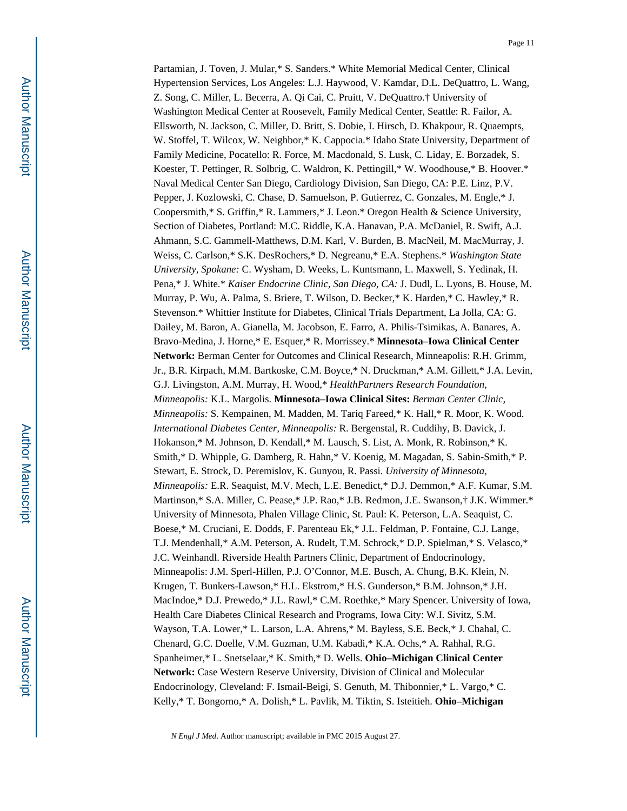Partamian, J. Toven, J. Mular,\* S. Sanders.\* White Memorial Medical Center, Clinical Hypertension Services, Los Angeles: L.J. Haywood, V. Kamdar, D.L. DeQuattro, L. Wang, Z. Song, C. Miller, L. Becerra, A. Qi Cai, C. Pruitt, V. DeQuattro.† University of Washington Medical Center at Roosevelt, Family Medical Center, Seattle: R. Failor, A. Ellsworth, N. Jackson, C. Miller, D. Britt, S. Dobie, I. Hirsch, D. Khakpour, R. Quaempts, W. Stoffel, T. Wilcox, W. Neighbor,\* K. Cappocia.\* Idaho State University, Department of Family Medicine, Pocatello: R. Force, M. Macdonald, S. Lusk, C. Liday, E. Borzadek, S. Koester, T. Pettinger, R. Solbrig, C. Waldron, K. Pettingill,\* W. Woodhouse,\* B. Hoover.\* Naval Medical Center San Diego, Cardiology Division, San Diego, CA: P.E. Linz, P.V. Pepper, J. Kozlowski, C. Chase, D. Samuelson, P. Gutierrez, C. Gonzales, M. Engle,\* J. Coopersmith,\* S. Griffin,\* R. Lammers,\* J. Leon.\* Oregon Health & Science University, Section of Diabetes, Portland: M.C. Riddle, K.A. Hanavan, P.A. McDaniel, R. Swift, A.J. Ahmann, S.C. Gammell-Matthews, D.M. Karl, V. Burden, B. MacNeil, M. MacMurray, J. Weiss, C. Carlson,\* S.K. DesRochers,\* D. Negreanu,\* E.A. Stephens.\* *Washington State University, Spokane:* C. Wysham, D. Weeks, L. Kuntsmann, L. Maxwell, S. Yedinak, H. Pena,\* J. White.\* *Kaiser Endocrine Clinic, San Diego, CA:* J. Dudl, L. Lyons, B. House, M. Murray, P. Wu, A. Palma, S. Briere, T. Wilson, D. Becker,\* K. Harden,\* C. Hawley,\* R. Stevenson.\* Whittier Institute for Diabetes, Clinical Trials Department, La Jolla, CA: G. Dailey, M. Baron, A. Gianella, M. Jacobson, E. Farro, A. Philis-Tsimikas, A. Banares, A. Bravo-Medina, J. Horne,\* E. Esquer,\* R. Morrissey.\* **Minnesota–Iowa Clinical Center Network:** Berman Center for Outcomes and Clinical Research, Minneapolis: R.H. Grimm, Jr., B.R. Kirpach, M.M. Bartkoske, C.M. Boyce,\* N. Druckman,\* A.M. Gillett,\* J.A. Levin, G.J. Livingston, A.M. Murray, H. Wood,\* *HealthPartners Research Foundation, Minneapolis:* K.L. Margolis. **Minnesota–Iowa Clinical Sites:** *Berman Center Clinic, Minneapolis:* S. Kempainen, M. Madden, M. Tariq Fareed,\* K. Hall,\* R. Moor, K. Wood. *International Diabetes Center, Minneapolis:* R. Bergenstal, R. Cuddihy, B. Davick, J. Hokanson,\* M. Johnson, D. Kendall,\* M. Lausch, S. List, A. Monk, R. Robinson,\* K. Smith,\* D. Whipple, G. Damberg, R. Hahn,\* V. Koenig, M. Magadan, S. Sabin-Smith,\* P. Stewart, E. Strock, D. Peremislov, K. Gunyou, R. Passi. *University of Minnesota, Minneapolis:* E.R. Seaquist, M.V. Mech, L.E. Benedict,\* D.J. Demmon,\* A.F. Kumar, S.M. Martinson,\* S.A. Miller, C. Pease,\* J.P. Rao,\* J.B. Redmon, J.E. Swanson,† J.K. Wimmer.\* University of Minnesota, Phalen Village Clinic, St. Paul: K. Peterson, L.A. Seaquist, C. Boese,\* M. Cruciani, E. Dodds, F. Parenteau Ek,\* J.L. Feldman, P. Fontaine, C.J. Lange, T.J. Mendenhall,\* A.M. Peterson, A. Rudelt, T.M. Schrock,\* D.P. Spielman,\* S. Velasco,\* J.C. Weinhandl. Riverside Health Partners Clinic, Department of Endocrinology, Minneapolis: J.M. Sperl-Hillen, P.J. O'Connor, M.E. Busch, A. Chung, B.K. Klein, N. Krugen, T. Bunkers-Lawson,\* H.L. Ekstrom,\* H.S. Gunderson,\* B.M. Johnson,\* J.H. MacIndoe,\* D.J. Prewedo,\* J.L. Rawl,\* C.M. Roethke,\* Mary Spencer. University of Iowa, Health Care Diabetes Clinical Research and Programs, Iowa City: W.I. Sivitz, S.M. Wayson, T.A. Lower,\* L. Larson, L.A. Ahrens,\* M. Bayless, S.E. Beck,\* J. Chahal, C. Chenard, G.C. Doelle, V.M. Guzman, U.M. Kabadi,\* K.A. Ochs,\* A. Rahhal, R.G. Spanheimer,\* L. Snetselaar,\* K. Smith,\* D. Wells. **Ohio–Michigan Clinical Center Network:** Case Western Reserve University, Division of Clinical and Molecular Endocrinology, Cleveland: F. Ismail-Beigi, S. Genuth, M. Thibonnier,\* L. Vargo,\* C. Kelly,\* T. Bongorno,\* A. Dolish,\* L. Pavlik, M. Tiktin, S. Isteitieh. **Ohio–Michigan**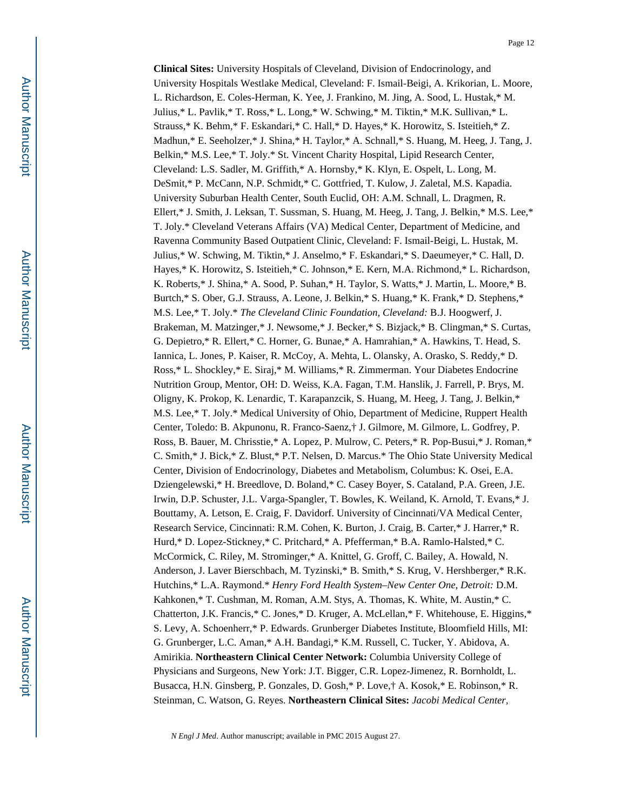**Clinical Sites:** University Hospitals of Cleveland, Division of Endocrinology, and University Hospitals Westlake Medical, Cleveland: F. Ismail-Beigi, A. Krikorian, L. Moore, L. Richardson, E. Coles-Herman, K. Yee, J. Frankino, M. Jing, A. Sood, L. Hustak,\* M. Julius,\* L. Pavlik,\* T. Ross,\* L. Long,\* W. Schwing,\* M. Tiktin,\* M.K. Sullivan,\* L. Strauss,\* K. Behm,\* F. Eskandari,\* C. Hall,\* D. Hayes,\* K. Horowitz, S. Isteitieh,\* Z. Madhun,\* E. Seeholzer,\* J. Shina,\* H. Taylor,\* A. Schnall,\* S. Huang, M. Heeg, J. Tang, J. Belkin,\* M.S. Lee,\* T. Joly.\* St. Vincent Charity Hospital, Lipid Research Center, Cleveland: L.S. Sadler, M. Griffith,\* A. Hornsby,\* K. Klyn, E. Ospelt, L. Long, M. DeSmit,\* P. McCann, N.P. Schmidt,\* C. Gottfried, T. Kulow, J. Zaletal, M.S. Kapadia. University Suburban Health Center, South Euclid, OH: A.M. Schnall, L. Dragmen, R. Ellert,\* J. Smith, J. Leksan, T. Sussman, S. Huang, M. Heeg, J. Tang, J. Belkin,\* M.S. Lee,\* T. Joly.\* Cleveland Veterans Affairs (VA) Medical Center, Department of Medicine, and Ravenna Community Based Outpatient Clinic, Cleveland: F. Ismail-Beigi, L. Hustak, M. Julius,\* W. Schwing, M. Tiktin,\* J. Anselmo,\* F. Eskandari,\* S. Daeumeyer,\* C. Hall, D. Hayes,\* K. Horowitz, S. Isteitieh,\* C. Johnson,\* E. Kern, M.A. Richmond,\* L. Richardson, K. Roberts,\* J. Shina,\* A. Sood, P. Suhan,\* H. Taylor, S. Watts,\* J. Martin, L. Moore,\* B. Burtch,\* S. Ober, G.J. Strauss, A. Leone, J. Belkin,\* S. Huang,\* K. Frank,\* D. Stephens,\* M.S. Lee,\* T. Joly.\* *The Cleveland Clinic Foundation, Cleveland:* B.J. Hoogwerf, J. Brakeman, M. Matzinger,\* J. Newsome,\* J. Becker,\* S. Bizjack,\* B. Clingman,\* S. Curtas, G. Depietro,\* R. Ellert,\* C. Horner, G. Bunae,\* A. Hamrahian,\* A. Hawkins, T. Head, S. Iannica, L. Jones, P. Kaiser, R. McCoy, A. Mehta, L. Olansky, A. Orasko, S. Reddy,\* D. Ross,\* L. Shockley,\* E. Siraj,\* M. Williams,\* R. Zimmerman. Your Diabetes Endocrine Nutrition Group, Mentor, OH: D. Weiss, K.A. Fagan, T.M. Hanslik, J. Farrell, P. Brys, M. Oligny, K. Prokop, K. Lenardic, T. Karapanzcik, S. Huang, M. Heeg, J. Tang, J. Belkin,\* M.S. Lee,\* T. Joly.\* Medical University of Ohio, Department of Medicine, Ruppert Health Center, Toledo: B. Akpunonu, R. Franco-Saenz,† J. Gilmore, M. Gilmore, L. Godfrey, P. Ross, B. Bauer, M. Chrisstie,\* A. Lopez, P. Mulrow, C. Peters,\* R. Pop-Busui,\* J. Roman,\* C. Smith,\* J. Bick,\* Z. Blust,\* P.T. Nelsen, D. Marcus.\* The Ohio State University Medical Center, Division of Endocrinology, Diabetes and Metabolism, Columbus: K. Osei, E.A. Dziengelewski,\* H. Breedlove, D. Boland,\* C. Casey Boyer, S. Cataland, P.A. Green, J.E. Irwin, D.P. Schuster, J.L. Varga-Spangler, T. Bowles, K. Weiland, K. Arnold, T. Evans,\* J. Bouttamy, A. Letson, E. Craig, F. Davidorf. University of Cincinnati/VA Medical Center, Research Service, Cincinnati: R.M. Cohen, K. Burton, J. Craig, B. Carter,\* J. Harrer,\* R. Hurd,\* D. Lopez-Stickney,\* C. Pritchard,\* A. Pfefferman,\* B.A. Ramlo-Halsted,\* C. McCormick, C. Riley, M. Strominger,\* A. Knittel, G. Groff, C. Bailey, A. Howald, N. Anderson, J. Laver Bierschbach, M. Tyzinski,\* B. Smith,\* S. Krug, V. Hershberger,\* R.K. Hutchins,\* L.A. Raymond.\* *Henry Ford Health System–New Center One, Detroit:* D.M. Kahkonen,\* T. Cushman, M. Roman, A.M. Stys, A. Thomas, K. White, M. Austin,\* C. Chatterton, J.K. Francis,\* C. Jones,\* D. Kruger, A. McLellan,\* F. Whitehouse, E. Higgins,\* S. Levy, A. Schoenherr,\* P. Edwards. Grunberger Diabetes Institute, Bloomfield Hills, MI: G. Grunberger, L.C. Aman,\* A.H. Bandagi,\* K.M. Russell, C. Tucker, Y. Abidova, A. Amirikia. **Northeastern Clinical Center Network:** Columbia University College of Physicians and Surgeons, New York: J.T. Bigger, C.R. Lopez-Jimenez, R. Bornholdt, L. Busacca, H.N. Ginsberg, P. Gonzales, D. Gosh,\* P. Love,† A. Kosok,\* E. Robinson,\* R. Steinman, C. Watson, G. Reyes. **Northeastern Clinical Sites:** *Jacobi Medical Center,*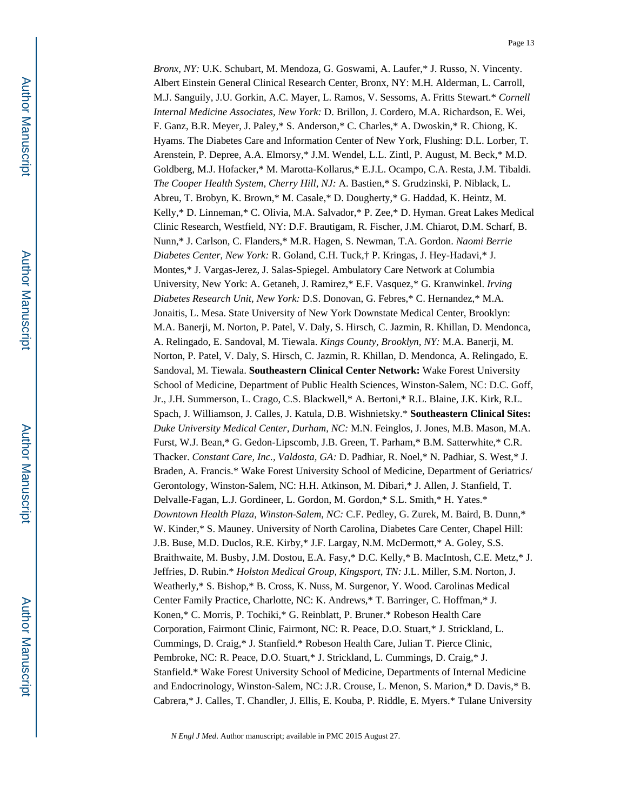*Bronx, NY:* U.K. Schubart, M. Mendoza, G. Goswami, A. Laufer,\* J. Russo, N. Vincenty. Albert Einstein General Clinical Research Center, Bronx, NY: M.H. Alderman, L. Carroll, M.J. Sanguily, J.U. Gorkin, A.C. Mayer, L. Ramos, V. Sessoms, A. Fritts Stewart.\* *Cornell Internal Medicine Associates, New York:* D. Brillon, J. Cordero, M.A. Richardson, E. Wei, F. Ganz, B.R. Meyer, J. Paley,\* S. Anderson,\* C. Charles,\* A. Dwoskin,\* R. Chiong, K. Hyams. The Diabetes Care and Information Center of New York, Flushing: D.L. Lorber, T. Arenstein, P. Depree, A.A. Elmorsy,\* J.M. Wendel, L.L. Zintl, P. August, M. Beck,\* M.D. Goldberg, M.J. Hofacker,\* M. Marotta-Kollarus,\* E.J.L. Ocampo, C.A. Resta, J.M. Tibaldi. *The Cooper Health System, Cherry Hill, NJ:* A. Bastien,\* S. Grudzinski, P. Niblack, L. Abreu, T. Brobyn, K. Brown,\* M. Casale,\* D. Dougherty,\* G. Haddad, K. Heintz, M. Kelly,\* D. Linneman,\* C. Olivia, M.A. Salvador,\* P. Zee,\* D. Hyman. Great Lakes Medical Clinic Research, Westfield, NY: D.F. Brautigam, R. Fischer, J.M. Chiarot, D.M. Scharf, B. Nunn,\* J. Carlson, C. Flanders,\* M.R. Hagen, S. Newman, T.A. Gordon. *Naomi Berrie Diabetes Center, New York:* R. Goland, C.H. Tuck,† P. Kringas, J. Hey-Hadavi,\* J. Montes,\* J. Vargas-Jerez, J. Salas-Spiegel. Ambulatory Care Network at Columbia University, New York: A. Getaneh, J. Ramirez,\* E.F. Vasquez,\* G. Kranwinkel. *Irving Diabetes Research Unit, New York:* D.S. Donovan, G. Febres,\* C. Hernandez,\* M.A. Jonaitis, L. Mesa. State University of New York Downstate Medical Center, Brooklyn: M.A. Banerji, M. Norton, P. Patel, V. Daly, S. Hirsch, C. Jazmin, R. Khillan, D. Mendonca, A. Relingado, E. Sandoval, M. Tiewala. *Kings County, Brooklyn, NY:* M.A. Banerji, M. Norton, P. Patel, V. Daly, S. Hirsch, C. Jazmin, R. Khillan, D. Mendonca, A. Relingado, E. Sandoval, M. Tiewala. **Southeastern Clinical Center Network:** Wake Forest University School of Medicine, Department of Public Health Sciences, Winston-Salem, NC: D.C. Goff, Jr., J.H. Summerson, L. Crago, C.S. Blackwell,\* A. Bertoni,\* R.L. Blaine, J.K. Kirk, R.L. Spach, J. Williamson, J. Calles, J. Katula, D.B. Wishnietsky.\* **Southeastern Clinical Sites:**  *Duke University Medical Center, Durham, NC:* M.N. Feinglos, J. Jones, M.B. Mason, M.A. Furst, W.J. Bean,\* G. Gedon-Lipscomb, J.B. Green, T. Parham,\* B.M. Satterwhite,\* C.R. Thacker. *Constant Care, Inc., Valdosta, GA:* D. Padhiar, R. Noel,\* N. Padhiar, S. West,\* J. Braden, A. Francis.\* Wake Forest University School of Medicine, Department of Geriatrics/ Gerontology, Winston-Salem, NC: H.H. Atkinson, M. Dibari,\* J. Allen, J. Stanfield, T. Delvalle-Fagan, L.J. Gordineer, L. Gordon, M. Gordon,\* S.L. Smith,\* H. Yates.\* *Downtown Health Plaza, Winston-Salem, NC:* C.F. Pedley, G. Zurek, M. Baird, B. Dunn,\* W. Kinder,\* S. Mauney. University of North Carolina, Diabetes Care Center, Chapel Hill: J.B. Buse, M.D. Duclos, R.E. Kirby,\* J.F. Largay, N.M. McDermott,\* A. Goley, S.S. Braithwaite, M. Busby, J.M. Dostou, E.A. Fasy,\* D.C. Kelly,\* B. MacIntosh, C.E. Metz,\* J. Jeffries, D. Rubin.\* *Holston Medical Group, Kingsport, TN:* J.L. Miller, S.M. Norton, J. Weatherly,\* S. Bishop,\* B. Cross, K. Nuss, M. Surgenor, Y. Wood. Carolinas Medical Center Family Practice, Charlotte, NC: K. Andrews,\* T. Barringer, C. Hoffman,\* J. Konen,\* C. Morris, P. Tochiki,\* G. Reinblatt, P. Bruner.\* Robeson Health Care Corporation, Fairmont Clinic, Fairmont, NC: R. Peace, D.O. Stuart,\* J. Strickland, L. Cummings, D. Craig,\* J. Stanfield.\* Robeson Health Care, Julian T. Pierce Clinic, Pembroke, NC: R. Peace, D.O. Stuart,\* J. Strickland, L. Cummings, D. Craig,\* J. Stanfield.\* Wake Forest University School of Medicine, Departments of Internal Medicine and Endocrinology, Winston-Salem, NC: J.R. Crouse, L. Menon, S. Marion,\* D. Davis,\* B. Cabrera,\* J. Calles, T. Chandler, J. Ellis, E. Kouba, P. Riddle, E. Myers.\* Tulane University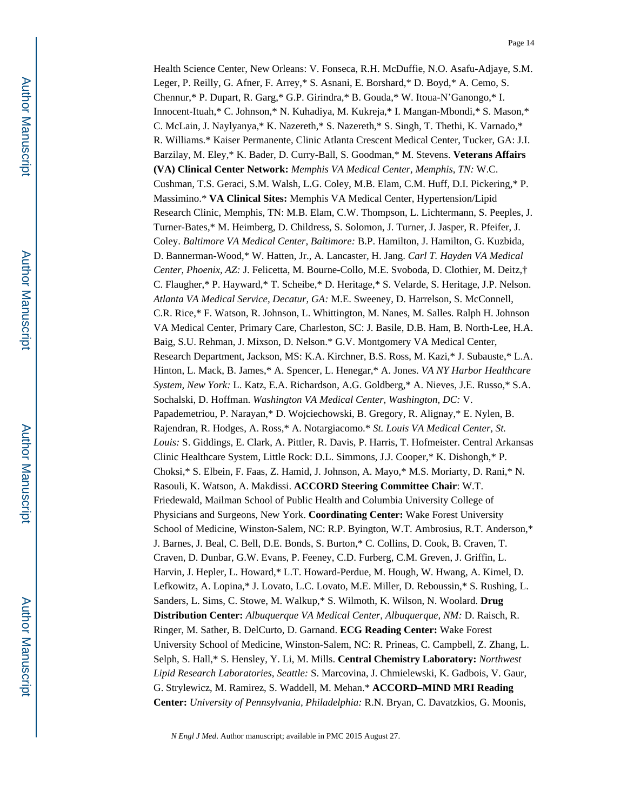Health Science Center, New Orleans: V. Fonseca, R.H. McDuffie, N.O. Asafu-Adjaye, S.M. Leger, P. Reilly, G. Afner, F. Arrey,\* S. Asnani, E. Borshard,\* D. Boyd,\* A. Cemo, S. Chennur,\* P. Dupart, R. Garg,\* G.P. Girindra,\* B. Gouda,\* W. Itoua-N'Ganongo,\* I. Innocent-Ituah,\* C. Johnson,\* N. Kuhadiya, M. Kukreja,\* I. Mangan-Mbondi,\* S. Mason,\* C. McLain, J. Naylyanya,\* K. Nazereth,\* S. Nazereth,\* S. Singh, T. Thethi, K. Varnado,\* R. Williams.\* Kaiser Permanente, Clinic Atlanta Crescent Medical Center, Tucker, GA: J.I. Barzilay, M. Eley,\* K. Bader, D. Curry-Ball, S. Goodman,\* M. Stevens. **Veterans Affairs (VA) Clinical Center Network:** *Memphis VA Medical Center, Memphis, TN:* W.C. Cushman, T.S. Geraci, S.M. Walsh, L.G. Coley, M.B. Elam, C.M. Huff, D.I. Pickering,\* P. Massimino.\* **VA Clinical Sites:** Memphis VA Medical Center, Hypertension/Lipid Research Clinic, Memphis, TN: M.B. Elam, C.W. Thompson, L. Lichtermann, S. Peeples, J. Turner-Bates,\* M. Heimberg, D. Childress, S. Solomon, J. Turner, J. Jasper, R. Pfeifer, J. Coley. *Baltimore VA Medical Center, Baltimore:* B.P. Hamilton, J. Hamilton, G. Kuzbida, D. Bannerman-Wood,\* W. Hatten, Jr., A. Lancaster, H. Jang. *Carl T. Hayden VA Medical Center, Phoenix, AZ:* J. Felicetta, M. Bourne-Collo, M.E. Svoboda, D. Clothier, M. Deitz,† C. Flaugher,\* P. Hayward,\* T. Scheibe,\* D. Heritage,\* S. Velarde, S. Heritage, J.P. Nelson. *Atlanta VA Medical Service, Decatur, GA:* M.E. Sweeney, D. Harrelson, S. McConnell, C.R. Rice,\* F. Watson, R. Johnson, L. Whittington, M. Nanes, M. Salles. Ralph H. Johnson VA Medical Center, Primary Care, Charleston, SC: J. Basile, D.B. Ham, B. North-Lee, H.A. Baig, S.U. Rehman, J. Mixson, D. Nelson.\* G.V. Montgomery VA Medical Center, Research Department, Jackson, MS: K.A. Kirchner, B.S. Ross, M. Kazi,\* J. Subauste,\* L.A. Hinton, L. Mack, B. James,\* A. Spencer, L. Henegar,\* A. Jones. *VA NY Harbor Healthcare System, New York:* L. Katz, E.A. Richardson, A.G. Goldberg,\* A. Nieves, J.E. Russo,\* S.A. Sochalski, D. Hoffman. *Washington VA Medical Center, Washington, DC:* V. Papademetriou, P. Narayan,\* D. Wojciechowski, B. Gregory, R. Alignay,\* E. Nylen, B. Rajendran, R. Hodges, A. Ross,\* A. Notargiacomo.\* *St. Louis VA Medical Center, St. Louis:* S. Giddings, E. Clark, A. Pittler, R. Davis, P. Harris, T. Hofmeister. Central Arkansas Clinic Healthcare System, Little Rock: D.L. Simmons, J.J. Cooper,\* K. Dishongh,\* P. Choksi,\* S. Elbein, F. Faas, Z. Hamid, J. Johnson, A. Mayo,\* M.S. Moriarty, D. Rani,\* N. Rasouli, K. Watson, A. Makdissi. **ACCORD Steering Committee Chair**: W.T. Friedewald, Mailman School of Public Health and Columbia University College of Physicians and Surgeons, New York. **Coordinating Center:** Wake Forest University School of Medicine, Winston-Salem, NC: R.P. Byington, W.T. Ambrosius, R.T. Anderson,\* J. Barnes, J. Beal, C. Bell, D.E. Bonds, S. Burton,\* C. Collins, D. Cook, B. Craven, T. Craven, D. Dunbar, G.W. Evans, P. Feeney, C.D. Furberg, C.M. Greven, J. Griffin, L. Harvin, J. Hepler, L. Howard,\* L.T. Howard-Perdue, M. Hough, W. Hwang, A. Kimel, D. Lefkowitz, A. Lopina,\* J. Lovato, L.C. Lovato, M.E. Miller, D. Reboussin,\* S. Rushing, L. Sanders, L. Sims, C. Stowe, M. Walkup,\* S. Wilmoth, K. Wilson, N. Woolard. **Drug Distribution Center:** *Albuquerque VA Medical Center, Albuquerque, NM:* D. Raisch, R. Ringer, M. Sather, B. DelCurto, D. Garnand. **ECG Reading Center:** Wake Forest University School of Medicine, Winston-Salem, NC: R. Prineas, C. Campbell, Z. Zhang, L. Selph, S. Hall,\* S. Hensley, Y. Li, M. Mills. **Central Chemistry Laboratory:** *Northwest Lipid Research Laboratories, Seattle:* S. Marcovina, J. Chmielewski, K. Gadbois, V. Gaur, G. Strylewicz, M. Ramirez, S. Waddell, M. Mehan.\* **ACCORD–MIND MRI Reading Center:** *University of Pennsylvania, Philadelphia:* R.N. Bryan, C. Davatzkios, G. Moonis,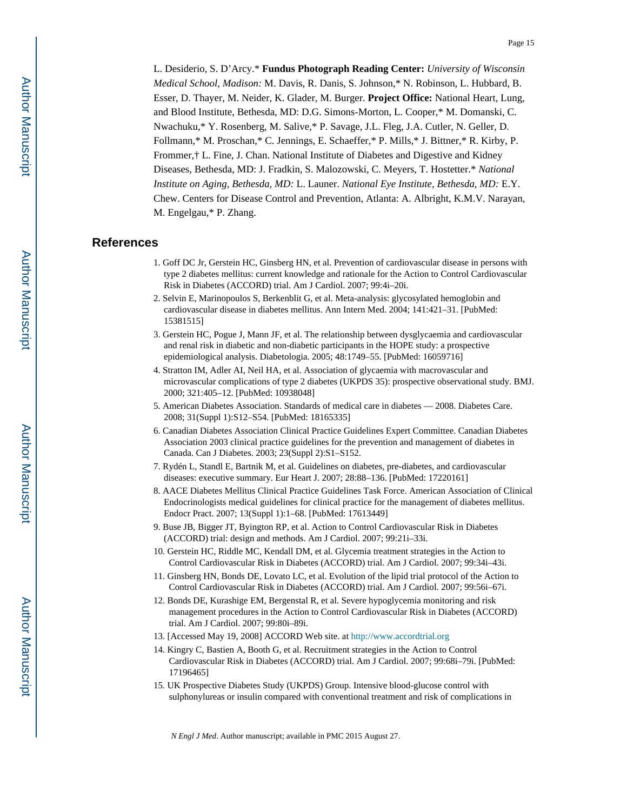L. Desiderio, S. D'Arcy.\* **Fundus Photograph Reading Center:** *University of Wisconsin Medical School, Madison:* M. Davis, R. Danis, S. Johnson,\* N. Robinson, L. Hubbard, B. Esser, D. Thayer, M. Neider, K. Glader, M. Burger. **Project Office:** National Heart, Lung, and Blood Institute, Bethesda, MD: D.G. Simons-Morton, L. Cooper,\* M. Domanski, C. Nwachuku,\* Y. Rosenberg, M. Salive,\* P. Savage, J.L. Fleg, J.A. Cutler, N. Geller, D. Follmann,\* M. Proschan,\* C. Jennings, E. Schaeffer,\* P. Mills,\* J. Bittner,\* R. Kirby, P. Frommer,† L. Fine, J. Chan. National Institute of Diabetes and Digestive and Kidney Diseases, Bethesda, MD: J. Fradkin, S. Malozowski, C. Meyers, T. Hostetter.\* *National Institute on Aging, Bethesda, MD:* L. Launer. *National Eye Institute, Bethesda, MD:* E.Y. Chew. Centers for Disease Control and Prevention, Atlanta: A. Albright, K.M.V. Narayan, M. Engelgau,\* P. Zhang.

#### **References**

- 1. Goff DC Jr, Gerstein HC, Ginsberg HN, et al. Prevention of cardiovascular disease in persons with type 2 diabetes mellitus: current knowledge and rationale for the Action to Control Cardiovascular Risk in Diabetes (ACCORD) trial. Am J Cardiol. 2007; 99:4i–20i.
- 2. Selvin E, Marinopoulos S, Berkenblit G, et al. Meta-analysis: glycosylated hemoglobin and cardiovascular disease in diabetes mellitus. Ann Intern Med. 2004; 141:421–31. [PubMed: 15381515]
- 3. Gerstein HC, Pogue J, Mann JF, et al. The relationship between dysglycaemia and cardiovascular and renal risk in diabetic and non-diabetic participants in the HOPE study: a prospective epidemiological analysis. Diabetologia. 2005; 48:1749–55. [PubMed: 16059716]
- 4. Stratton IM, Adler AI, Neil HA, et al. Association of glycaemia with macrovascular and microvascular complications of type 2 diabetes (UKPDS 35): prospective observational study. BMJ. 2000; 321:405–12. [PubMed: 10938048]
- 5. American Diabetes Association. Standards of medical care in diabetes 2008. Diabetes Care. 2008; 31(Suppl 1):S12–S54. [PubMed: 18165335]
- 6. Canadian Diabetes Association Clinical Practice Guidelines Expert Committee. Canadian Diabetes Association 2003 clinical practice guidelines for the prevention and management of diabetes in Canada. Can J Diabetes. 2003; 23(Suppl 2):S1–S152.
- 7. Rydén L, Standl E, Bartnik M, et al. Guidelines on diabetes, pre-diabetes, and cardiovascular diseases: executive summary. Eur Heart J. 2007; 28:88–136. [PubMed: 17220161]
- 8. AACE Diabetes Mellitus Clinical Practice Guidelines Task Force. American Association of Clinical Endocrinologists medical guidelines for clinical practice for the management of diabetes mellitus. Endocr Pract. 2007; 13(Suppl 1):1–68. [PubMed: 17613449]
- 9. Buse JB, Bigger JT, Byington RP, et al. Action to Control Cardiovascular Risk in Diabetes (ACCORD) trial: design and methods. Am J Cardiol. 2007; 99:21i–33i.
- 10. Gerstein HC, Riddle MC, Kendall DM, et al. Glycemia treatment strategies in the Action to Control Cardiovascular Risk in Diabetes (ACCORD) trial. Am J Cardiol. 2007; 99:34i–43i.
- 11. Ginsberg HN, Bonds DE, Lovato LC, et al. Evolution of the lipid trial protocol of the Action to Control Cardiovascular Risk in Diabetes (ACCORD) trial. Am J Cardiol. 2007; 99:56i–67i.
- 12. Bonds DE, Kurashige EM, Bergenstal R, et al. Severe hypoglycemia monitoring and risk management procedures in the Action to Control Cardiovascular Risk in Diabetes (ACCORD) trial. Am J Cardiol. 2007; 99:80i–89i.
- 13. [Accessed May 19, 2008] ACCORD Web site. at <http://www.accordtrial.org>
- 14. Kingry C, Bastien A, Booth G, et al. Recruitment strategies in the Action to Control Cardiovascular Risk in Diabetes (ACCORD) trial. Am J Cardiol. 2007; 99:68i–79i. [PubMed: 17196465]
- 15. UK Prospective Diabetes Study (UKPDS) Group. Intensive blood-glucose control with sulphonylureas or insulin compared with conventional treatment and risk of complications in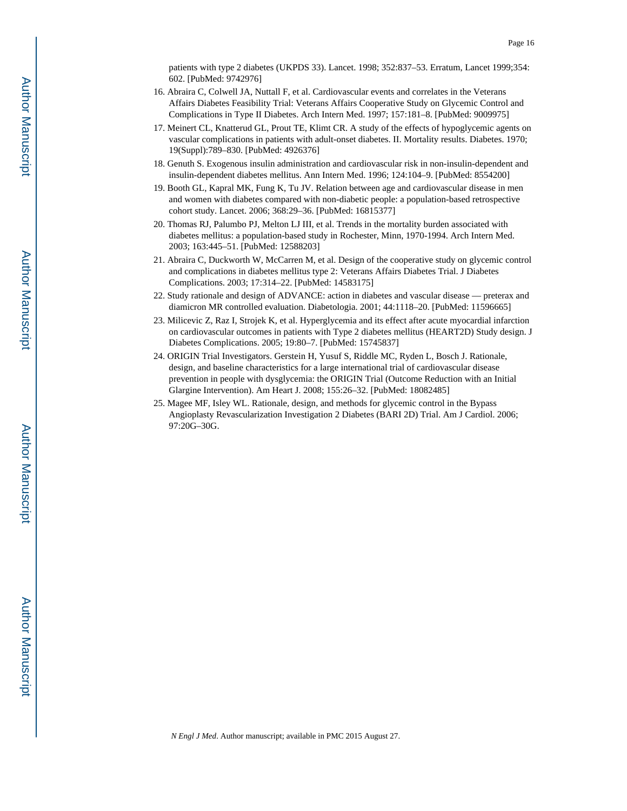patients with type 2 diabetes (UKPDS 33). Lancet. 1998; 352:837–53. Erratum, Lancet 1999;354: 602. [PubMed: 9742976]

- 16. Abraira C, Colwell JA, Nuttall F, et al. Cardiovascular events and correlates in the Veterans Affairs Diabetes Feasibility Trial: Veterans Affairs Cooperative Study on Glycemic Control and Complications in Type II Diabetes. Arch Intern Med. 1997; 157:181–8. [PubMed: 9009975]
- 17. Meinert CL, Knatterud GL, Prout TE, Klimt CR. A study of the effects of hypoglycemic agents on vascular complications in patients with adult-onset diabetes. II. Mortality results. Diabetes. 1970; 19(Suppl):789–830. [PubMed: 4926376]
- 18. Genuth S. Exogenous insulin administration and cardiovascular risk in non-insulin-dependent and insulin-dependent diabetes mellitus. Ann Intern Med. 1996; 124:104–9. [PubMed: 8554200]
- 19. Booth GL, Kapral MK, Fung K, Tu JV. Relation between age and cardiovascular disease in men and women with diabetes compared with non-diabetic people: a population-based retrospective cohort study. Lancet. 2006; 368:29–36. [PubMed: 16815377]
- 20. Thomas RJ, Palumbo PJ, Melton LJ III, et al. Trends in the mortality burden associated with diabetes mellitus: a population-based study in Rochester, Minn, 1970-1994. Arch Intern Med. 2003; 163:445–51. [PubMed: 12588203]
- 21. Abraira C, Duckworth W, McCarren M, et al. Design of the cooperative study on glycemic control and complications in diabetes mellitus type 2: Veterans Affairs Diabetes Trial. J Diabetes Complications. 2003; 17:314–22. [PubMed: 14583175]
- 22. Study rationale and design of ADVANCE: action in diabetes and vascular disease preterax and diamicron MR controlled evaluation. Diabetologia. 2001; 44:1118–20. [PubMed: 11596665]
- 23. Milicevic Z, Raz I, Strojek K, et al. Hyperglycemia and its effect after acute myocardial infarction on cardiovascular outcomes in patients with Type 2 diabetes mellitus (HEART2D) Study design. J Diabetes Complications. 2005; 19:80–7. [PubMed: 15745837]
- 24. ORIGIN Trial Investigators. Gerstein H, Yusuf S, Riddle MC, Ryden L, Bosch J. Rationale, design, and baseline characteristics for a large international trial of cardiovascular disease prevention in people with dysglycemia: the ORIGIN Trial (Outcome Reduction with an Initial Glargine Intervention). Am Heart J. 2008; 155:26–32. [PubMed: 18082485]
- 25. Magee MF, Isley WL. Rationale, design, and methods for glycemic control in the Bypass Angioplasty Revascularization Investigation 2 Diabetes (BARI 2D) Trial. Am J Cardiol. 2006; 97:20G–30G.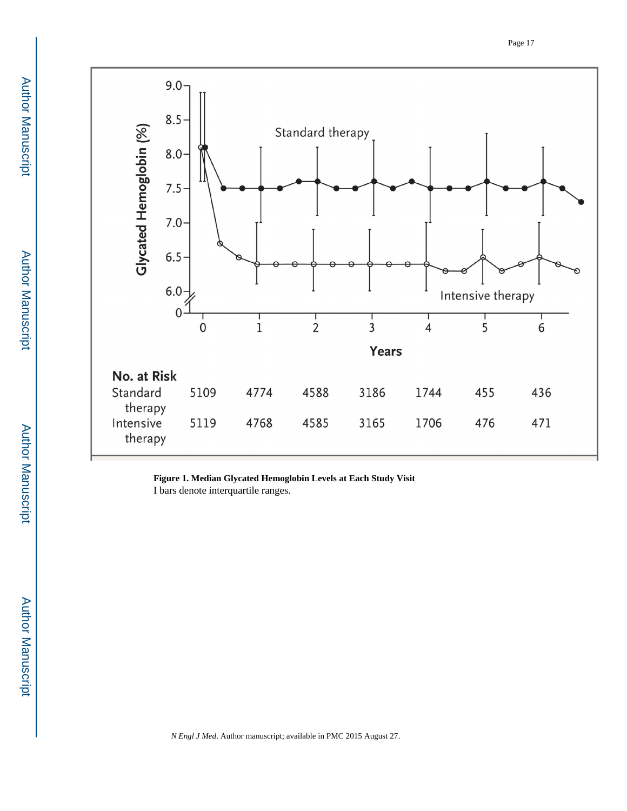

**Figure 1. Median Glycated Hemoglobin Levels at Each Study Visit**

I bars denote interquartile ranges.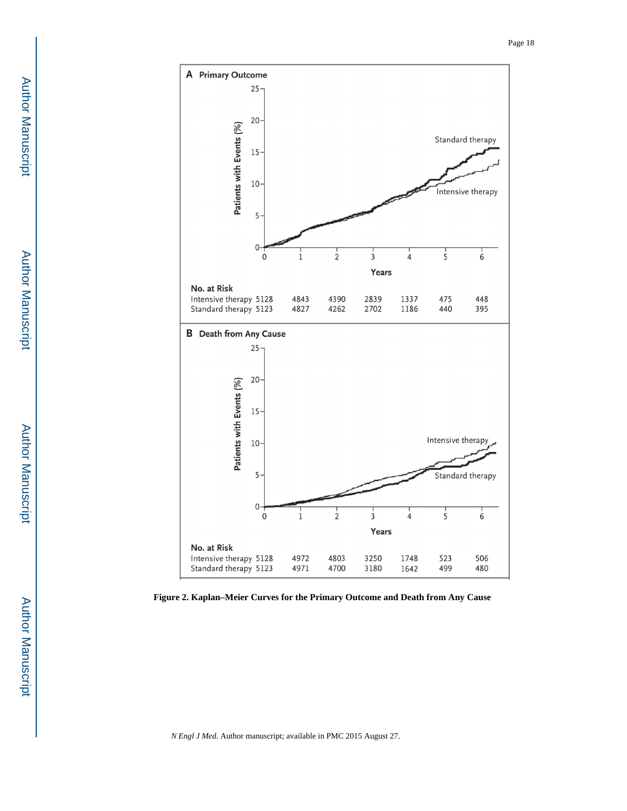

**Figure 2. Kaplan–Meier Curves for the Primary Outcome and Death from Any Cause**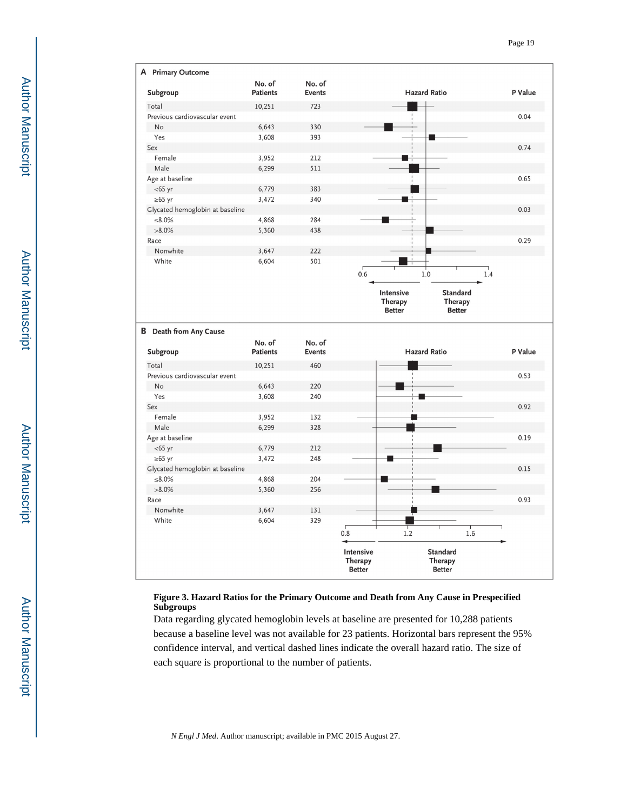| Subgroup                                                                                                                   | No. of<br><b>Patients</b> | No. of<br><b>Events</b> | <b>Hazard Ratio</b>                                                                  | P Value         |
|----------------------------------------------------------------------------------------------------------------------------|---------------------------|-------------------------|--------------------------------------------------------------------------------------|-----------------|
| Total                                                                                                                      | 10,251                    | 723                     |                                                                                      |                 |
| Previous cardiovascular event                                                                                              |                           |                         |                                                                                      | 0.04            |
| <b>No</b>                                                                                                                  | 6,643                     | 330                     |                                                                                      |                 |
| Yes                                                                                                                        | 3,608                     | 393                     |                                                                                      |                 |
| Sex                                                                                                                        |                           |                         |                                                                                      | 0.74            |
| Female                                                                                                                     | 3,952                     | 212                     |                                                                                      |                 |
| Male                                                                                                                       | 6,299                     | 511                     |                                                                                      |                 |
| Age at baseline                                                                                                            |                           |                         |                                                                                      | 0.65            |
| $<$ 65 yr                                                                                                                  | 6,779                     | 383                     |                                                                                      |                 |
| $\geq 65$ yr                                                                                                               | 3,472                     | 340                     |                                                                                      |                 |
| Glycated hemoglobin at baseline                                                                                            |                           |                         |                                                                                      | 0.03            |
| $\leq 8.0\%$                                                                                                               | 4,868                     | 284                     |                                                                                      |                 |
| $>8.0\%$                                                                                                                   | 5,360                     | 438                     |                                                                                      |                 |
| Race                                                                                                                       |                           |                         |                                                                                      | 0.29            |
| Nonwhite                                                                                                                   | 3,647                     | 222                     |                                                                                      |                 |
| White                                                                                                                      | 6,604                     | 501                     | 0.6<br>1.0                                                                           | 1.4             |
|                                                                                                                            |                           |                         | Intensive<br><b>Standard</b><br>Therapy<br>Therapy<br><b>Better</b><br><b>Better</b> |                 |
|                                                                                                                            | No. of                    | No. of                  |                                                                                      |                 |
|                                                                                                                            | <b>Patients</b>           | <b>Events</b>           | <b>Hazard Ratio</b>                                                                  |                 |
|                                                                                                                            | 10,251                    | 460                     |                                                                                      |                 |
|                                                                                                                            |                           |                         |                                                                                      | 0.53            |
| No                                                                                                                         | 6,643                     | 220                     |                                                                                      |                 |
| Yes                                                                                                                        | 3,608                     | 240                     |                                                                                      |                 |
|                                                                                                                            |                           |                         |                                                                                      | P Value<br>0.92 |
| Female                                                                                                                     | 3,952                     | 132                     |                                                                                      |                 |
| Male                                                                                                                       | 6,299                     | 328                     |                                                                                      |                 |
|                                                                                                                            |                           |                         |                                                                                      | 0.19            |
| <b>B</b> Death from Any Cause<br>Subgroup<br>Total<br>Previous cardiovascular event<br>Sex<br>Age at baseline<br>$<$ 65 yr | 6,779                     | 212                     |                                                                                      |                 |
| $\geq 65$ yr                                                                                                               | 3,472                     | 248                     |                                                                                      |                 |
|                                                                                                                            |                           |                         |                                                                                      | 0.15            |
| $\leq 8.0\%$                                                                                                               | 4,868                     | 204                     |                                                                                      |                 |
| $>8.0\%$                                                                                                                   | 5,360                     | 256                     |                                                                                      |                 |
| Glycated hemoglobin at baseline<br>Race                                                                                    |                           |                         |                                                                                      | 0.93            |
| Nonwhite                                                                                                                   | 3,647                     | 131                     |                                                                                      |                 |
| White                                                                                                                      | 6,604                     | 329                     | г<br>0.8<br>1.2<br>1.6                                                               |                 |

#### **Figure 3. Hazard Ratios for the Primary Outcome and Death from Any Cause in Prespecified Subgroups**

Data regarding glycated hemoglobin levels at baseline are presented for 10,288 patients because a baseline level was not available for 23 patients. Horizontal bars represent the 95% confidence interval, and vertical dashed lines indicate the overall hazard ratio. The size of each square is proportional to the number of patients.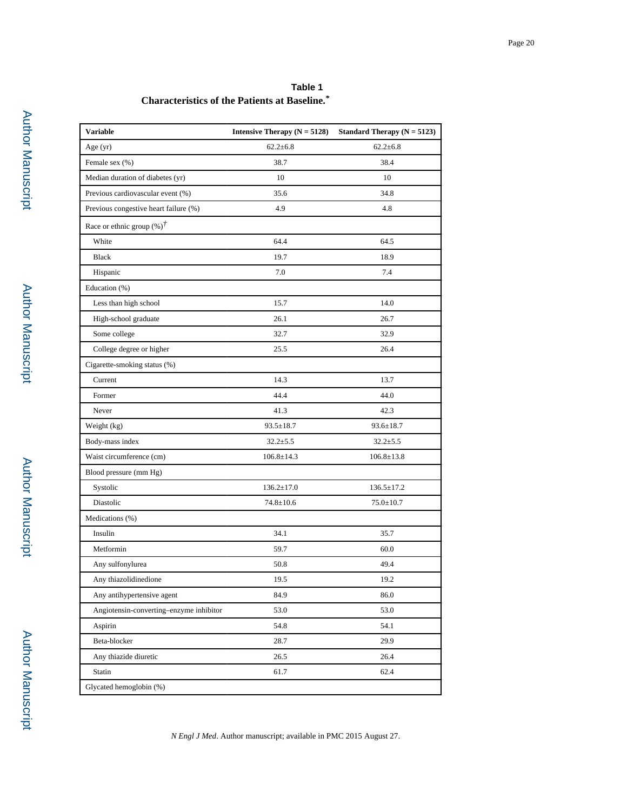**Table 1 Characteristics of the Patients at Baseline.***\**

| <b>Variable</b>                         | Intensive Therapy $(N = 5128)$ | Standard Therapy $(N = 5123)$ |
|-----------------------------------------|--------------------------------|-------------------------------|
| Age $(yr)$                              | $62.2 \pm 6.8$                 | $62.2 \pm 6.8$                |
| Female sex (%)                          | 38.7                           | 38.4                          |
| Median duration of diabetes (yr)        | 10                             | 10                            |
| Previous cardiovascular event (%)       | 35.6                           | 34.8                          |
| Previous congestive heart failure (%)   | 4.9                            | 4.8                           |
| Race or ethnic group $(\%)^{\dagger}$   |                                |                               |
| White                                   | 64.4                           | 64.5                          |
| <b>Black</b>                            | 19.7                           | 18.9                          |
| Hispanic                                | 7.0                            | 7.4                           |
| Education (%)                           |                                |                               |
| Less than high school                   | 15.7                           | 14.0                          |
| High-school graduate                    | 26.1                           | 26.7                          |
| Some college                            | 32.7                           | 32.9                          |
| College degree or higher                | 25.5                           | 26.4                          |
| Cigarette-smoking status (%)            |                                |                               |
| Current                                 | 14.3                           | 13.7                          |
| Former                                  | 44.4                           | 44.0                          |
| Never                                   | 41.3                           | 42.3                          |
| Weight (kg)                             | $93.5 \pm 18.7$                | $93.6 \pm 18.7$               |
| Body-mass index                         | $32.2 \pm 5.5$                 | $32.2 \pm 5.5$                |
| Waist circumference (cm)                | $106.8 \pm 14.3$               | $106.8 \pm 13.8$              |
| Blood pressure (mm Hg)                  |                                |                               |
| Systolic                                | $136.2 \pm 17.0$               | $136.5 \pm 17.2$              |
| Diastolic                               | $74.8 \pm 10.6$                | $75.0 \pm 10.7$               |
| Medications (%)                         |                                |                               |
| Insulin                                 | 34.1                           | 35.7                          |
| Metformin                               | 59.7                           | 60.0                          |
| Any sulfonylurea                        | 50.8                           | 49.4                          |
| Any thiazolidinedione                   | 19.5                           | 19.2                          |
| Any antihypertensive agent              | 84.9                           | 86.0                          |
| Angiotensin-converting-enzyme inhibitor | 53.0                           | 53.0                          |
| Aspirin                                 | 54.8                           | 54.1                          |
| Beta-blocker                            | 28.7                           | 29.9                          |
| Any thiazide diuretic                   | 26.5                           | 26.4                          |
| Statin                                  | 61.7                           | 62.4                          |
| Glycated hemoglobin (%)                 |                                |                               |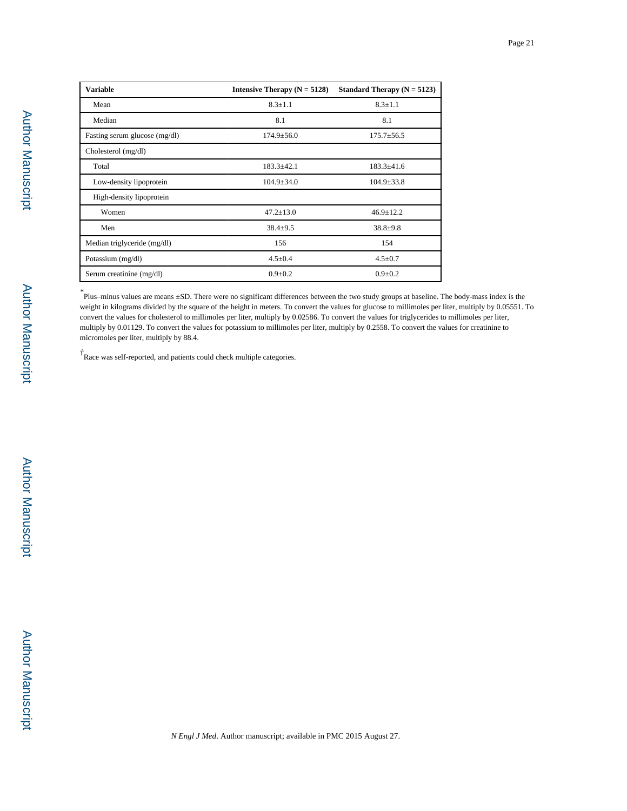| <b>Variable</b>               | Intensive Therapy $(N = 5128)$ | Standard Therapy $(N = 5123)$ |
|-------------------------------|--------------------------------|-------------------------------|
| Mean                          | $8.3 \pm 1.1$                  | $8.3 \pm 1.1$                 |
| Median                        | 8.1                            | 8.1                           |
| Fasting serum glucose (mg/dl) | $174.9 \pm 56.0$               | $175.7 \pm 56.5$              |
| Cholesterol (mg/dl)           |                                |                               |
| Total                         | $183.3 \pm 42.1$               | $183.3 \pm 41.6$              |
| Low-density lipoprotein       | $104.9 \pm 34.0$               | $104.9 \pm 33.8$              |
| High-density lipoprotein      |                                |                               |
| Women                         | $47.2 \pm 13.0$                | $46.9 \pm 12.2$               |
| Men                           | $38.4 \pm 9.5$                 | $38.8 + 9.8$                  |
| Median triglyceride (mg/dl)   | 156                            | 154                           |
| Potassium (mg/dl)             | $4.5 \pm 0.4$                  | $4.5 \pm 0.7$                 |
| Serum creatinine (mg/dl)      | $0.9 + 0.2$                    | $0.9 \pm 0.2$                 |

*\** Plus–minus values are means ±SD. There were no significant differences between the two study groups at baseline. The body-mass index is the weight in kilograms divided by the square of the height in meters. To convert the values for glucose to millimoles per liter, multiply by 0.05551. To convert the values for cholesterol to millimoles per liter, multiply by 0.02586. To convert the values for triglycerides to millimoles per liter, multiply by 0.01129. To convert the values for potassium to millimoles per liter, multiply by 0.2558. To convert the values for creatinine to micromoles per liter, multiply by 88.4.

*†* Race was self-reported, and patients could check multiple categories.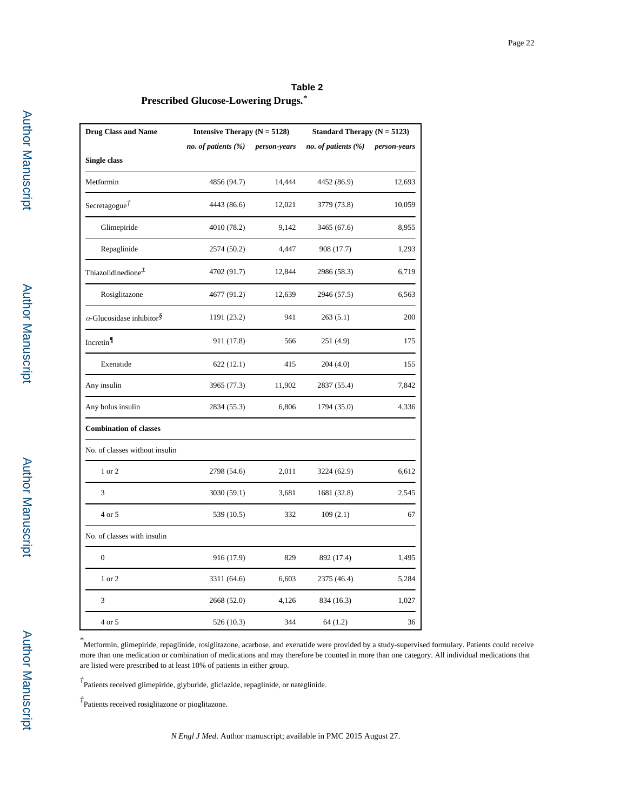#### **Table 2**

**Prescribed Glucose-Lowering Drugs.***\**

| <b>Drug Class and Name</b>        | Intensive Therapy $(N = 5128)$ |              | Standard Therapy $(N = 5123)$ |              |  |
|-----------------------------------|--------------------------------|--------------|-------------------------------|--------------|--|
|                                   | no. of patients $(\%)$         | person-years | no. of patients $(\%)$        | person-years |  |
| <b>Single class</b>               |                                |              |                               |              |  |
| Metformin                         | 4856 (94.7)                    | 14,444       | 4452 (86.9)                   | 12,693       |  |
| Secretagogue $\dot{\tau}$         | 4443 (86.6)                    | 12,021       | 3779 (73.8)                   | 10,059       |  |
| Glimepiride                       | 4010 (78.2)                    | 9,142        | 3465 (67.6)                   | 8,955        |  |
| Repaglinide                       | 2574 (50.2)                    | 4,447        | 908 (17.7)                    | 1,293        |  |
| Thiazolidinedione $\ddot{\tau}$   | 4702 (91.7)                    | 12,844       | 2986 (58.3)                   | 6,719        |  |
| Rosiglitazone                     | 4677 (91.2)                    | 12,639       | 2946 (57.5)                   | 6,563        |  |
| a-Glucosidase inhibitor $\hat{S}$ | 1191 (23.2)                    | 941          | 263(5.1)                      | 200          |  |
| Incretin $\mathcal I$             | 911 (17.8)                     | 566          | 251 (4.9)                     | 175          |  |
| Exenatide                         | 622(12.1)                      | 415          | 204 (4.0)                     | 155          |  |
| Any insulin                       | 3965 (77.3)                    | 11,902       | 2837 (55.4)                   | 7,842        |  |
| Any bolus insulin                 | 2834 (55.3)                    | 6,806        | 1794 (35.0)                   | 4,336        |  |
| <b>Combination of classes</b>     |                                |              |                               |              |  |
| No. of classes without insulin    |                                |              |                               |              |  |
| 1 or 2                            | 2798 (54.6)                    | 2,011        | 3224 (62.9)                   | 6,612        |  |
| 3                                 | 3030 (59.1)                    | 3,681        | 1681 (32.8)                   | 2,545        |  |
| 4 or 5                            | 539 (10.5)                     | 332          | 109(2.1)                      | 67           |  |
| No. of classes with insulin       |                                |              |                               |              |  |
| $\mathbf{0}$                      | 916 (17.9)                     | 829          | 892 (17.4)                    | 1,495        |  |
| 1 or 2                            | 3311 (64.6)                    | 6,603        | 2375 (46.4)                   | 5,284        |  |
| 3                                 | 2668 (52.0)                    | 4,126        | 834 (16.3)                    | 1,027        |  |
| 4 or 5                            | 526 (10.3)                     | 344          | 64(1.2)                       | 36           |  |

*\**Metformin, glimepiride, repaglinide, rosiglitazone, acarbose, and exenatide were provided by a study-supervised formulary. Patients could receive more than one medication or combination of medications and may therefore be counted in more than one category. All individual medications that are listed were prescribed to at least 10% of patients in either group.

*†* Patients received glimepiride, glyburide, gliclazide, repaglinide, or nateglinide.

*‡* Patients received rosiglitazone or pioglitazone.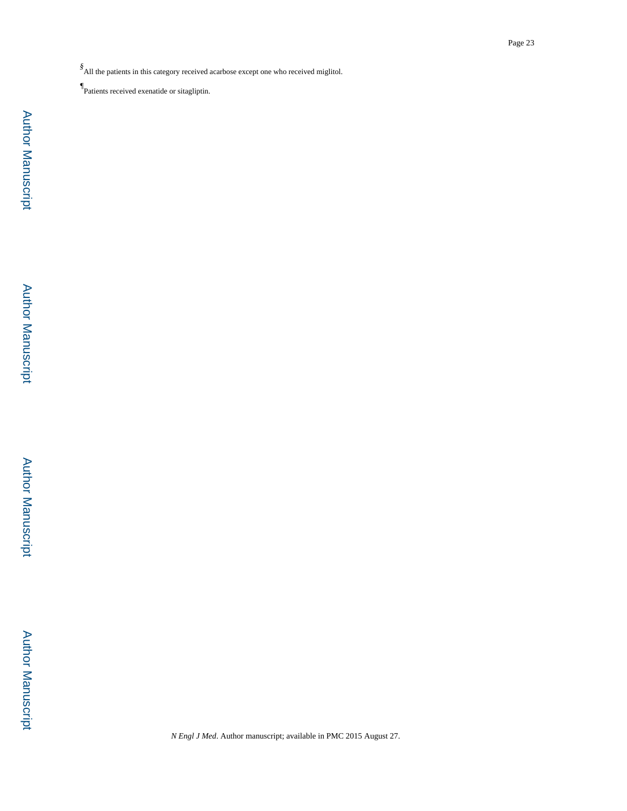*§* All the patients in this category received acarbose except one who received miglitol.

*¶* Patients received exenatide or sitagliptin.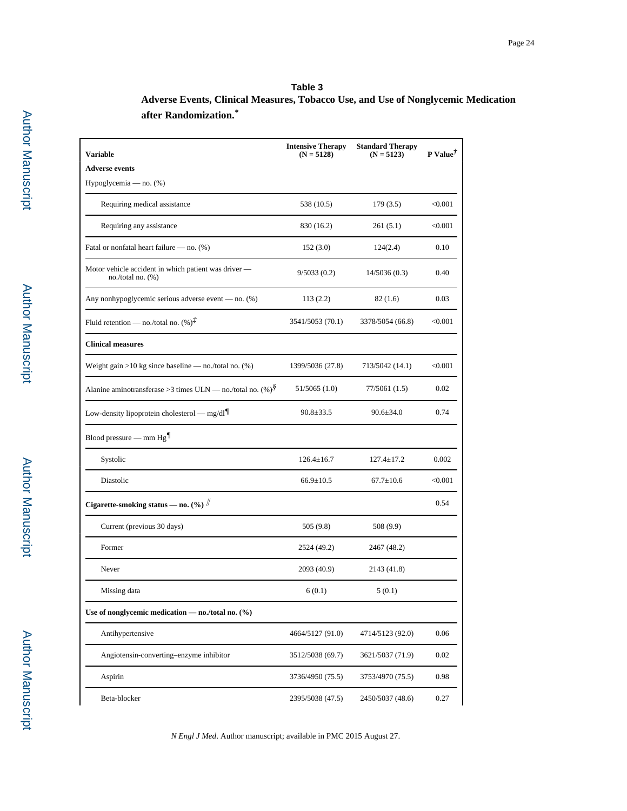#### **Table 3**

## **Adverse Events, Clinical Measures, Tobacco Use, and Use of Nonglycemic Medication after Randomization.***\**

| <b>Variable</b>                                                             | <b>Intensive Therapy</b><br>$(N = 5128)$ | <b>Standard Therapy</b><br>$(N = 5123)$ | <b>P</b> Value <sup><math>\bar{t}</math></sup> |
|-----------------------------------------------------------------------------|------------------------------------------|-----------------------------------------|------------------------------------------------|
| <b>Adverse events</b>                                                       |                                          |                                         |                                                |
| Hypoglycemia — no. $(\%)$                                                   |                                          |                                         |                                                |
| Requiring medical assistance                                                | 538 (10.5)                               | 179(3.5)                                | < 0.001                                        |
| Requiring any assistance                                                    | 830 (16.2)                               | 261(5.1)                                | < 0.001                                        |
| Fatal or nonfatal heart failure $-$ no. $(\%)$                              | 152(3.0)                                 | 124(2.4)                                | 0.10                                           |
| Motor vehicle accident in which patient was driver -<br>$no./total no.$ (%) | 9/5033(0.2)                              | 14/5036(0.3)                            | 0.40                                           |
| Any nonhypoglycemic serious adverse event — no. (%)                         | 113(2.2)                                 | 82(1.6)                                 | 0.03                                           |
| Fluid retention — no./total no. $(\% )^{\mathcal{F}}$                       | 3541/5053 (70.1)                         | 3378/5054 (66.8)                        | < 0.001                                        |
| <b>Clinical measures</b>                                                    |                                          |                                         |                                                |
| Weight gain $>10$ kg since baseline — no./total no. (%)                     | 1399/5036 (27.8)                         | 713/5042 (14.1)                         | < 0.001                                        |
| Alanine aminotransferase > 3 times ULN — no./total no. $(\%)$ <sup>§</sup>  | 51/5065 (1.0)                            | 77/5061 (1.5)                           | 0.02                                           |
| Low-density lipoprotein cholesterol — $mg/dl$                               | $90.8 \pm 33.5$                          | $90.6 \pm 34.0$                         | 0.74                                           |
| Blood pressure — mm $Hg^{\dagger}$                                          |                                          |                                         |                                                |
| Systolic                                                                    | $126.4 \pm 16.7$                         | $127.4 \pm 17.2$                        | 0.002                                          |
| Diastolic                                                                   | $66.9 \pm 10.5$                          | $67.7 \pm 10.6$                         | < 0.001                                        |
| Cigarette-smoking status — no. $(\%)$ //                                    |                                          |                                         | 0.54                                           |
| Current (previous 30 days)                                                  | 505 (9.8)                                | 508 (9.9)                               |                                                |
| Former                                                                      | 2524 (49.2)                              | 2467 (48.2)                             |                                                |
| Never                                                                       | 2093 (40.9)                              | 2143 (41.8)                             |                                                |
| Missing data                                                                | 6(0.1)                                   | 5(0.1)                                  |                                                |
| Use of nonglycemic medication — no./total no. $(\%)$                        |                                          |                                         |                                                |
| Antihypertensive                                                            | 4664/5127 (91.0)                         | 4714/5123 (92.0)                        | 0.06                                           |
| Angiotensin-converting-enzyme inhibitor                                     | 3512/5038 (69.7)                         | 3621/5037 (71.9)                        | 0.02                                           |
| Aspirin                                                                     | 3736/4950 (75.5)                         | 3753/4970 (75.5)                        | 0.98                                           |
| Beta-blocker                                                                | 2395/5038 (47.5)                         | 2450/5037 (48.6)                        | 0.27                                           |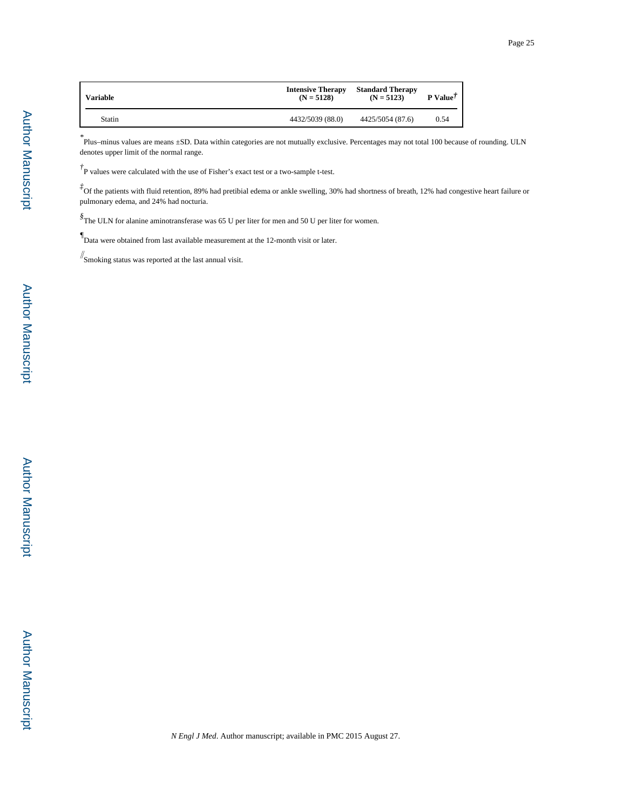| Variable | <b>Intensive Therapy</b><br>$(N = 5128)$ | <b>Standard Therapy</b><br>$(N = 5123)$ | <b>P</b> Value $^{\dagger}$ |
|----------|------------------------------------------|-----------------------------------------|-----------------------------|
| Statin   | 4432/5039 (88.0)                         | 4425/5054 (87.6)                        | 0.54                        |

*\** Plus–minus values are means ±SD. Data within categories are not mutually exclusive. Percentages may not total 100 because of rounding. ULN denotes upper limit of the normal range.

*†* P values were calculated with the use of Fisher's exact test or a two-sample t-test.

*‡* Of the patients with fluid retention, 89% had pretibial edema or ankle swelling, 30% had shortness of breath, 12% had congestive heart failure or pulmonary edema, and 24% had nocturia.

*§* The ULN for alanine aminotransferase was 65 U per liter for men and 50 U per liter for women.

*¶* Data were obtained from last available measurement at the 12-month visit or later.

 $\mathbb{Z}_{\text{Smoking}}$  status was reported at the last annual visit.